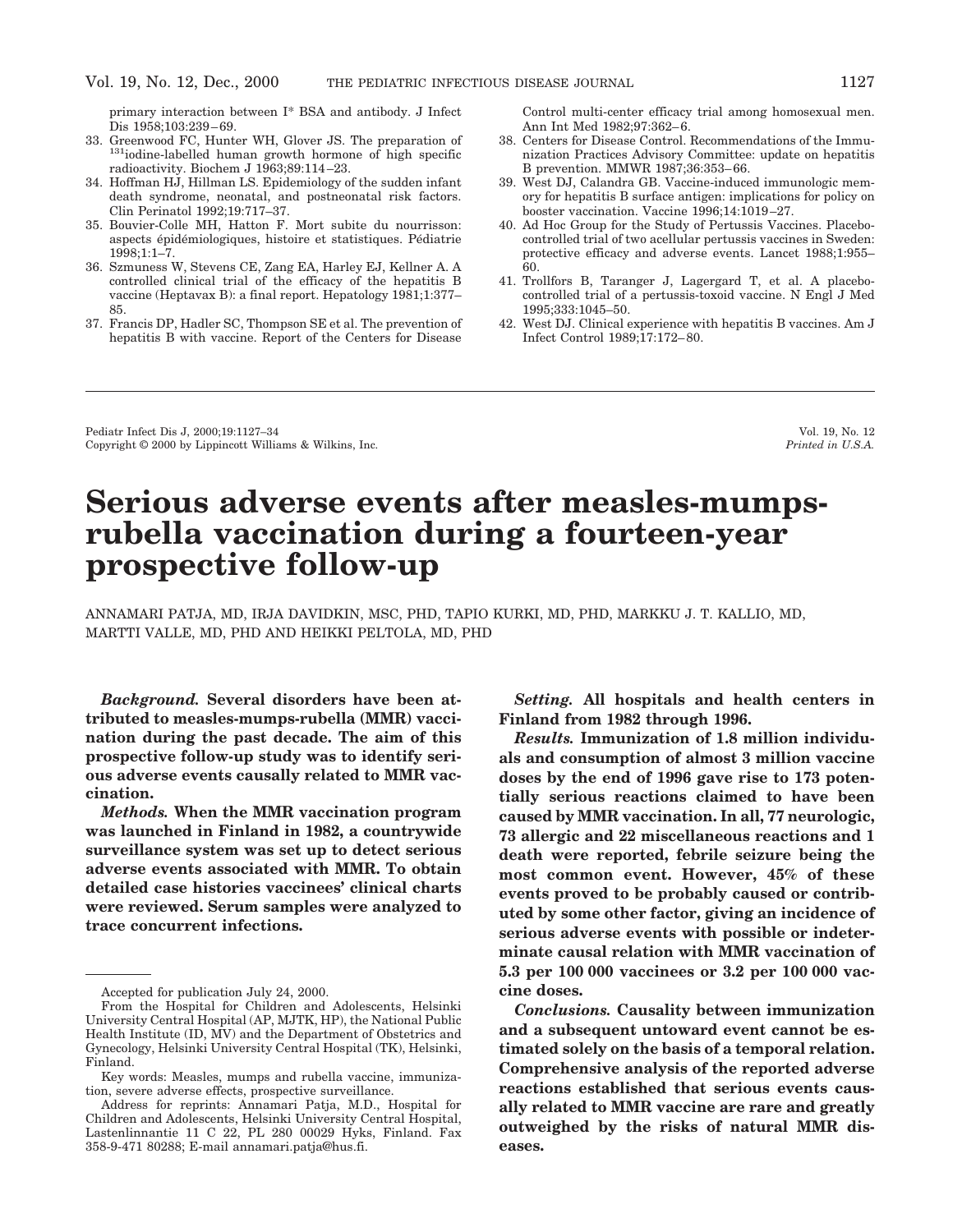primary interaction between I\* BSA and antibody. J Infect Dis 1958;103:239–69.<br>33. Greenwood FC. Hunter WH. Glover JS. The preparation of

- $131$ iodine-labelled human growth hormone of high specific radioactivity. Biochem J 1963;89:114–23.
- 34. Hoffman HJ, Hillman LS. Epidemiology of the sudden infant death syndrome, neonatal, and postneonatal risk factors. Clin Perinatol 1992;19:717–37.
- 35. Bouvier-Colle MH, Hatton F. Mort subite du nourrisson: aspects épidémiologiques, histoire et statistiques. Pédiatrie 1998;1:1–7.
- 36. Szmuness W, Stevens CE, Zang EA, Harley EJ, Kellner A. A controlled clinical trial of the efficacy of the hepatitis B vaccine (Heptavax B): a final report. Hepatology 1981;1:377– 85.
- 37. Francis DP, Hadler SC, Thompson SE et al. The prevention of hepatitis B with vaccine. Report of the Centers for Disease

Control multi-center efficacy trial among homosexual men. Ann Int Med 1982;97:362–6.

- 38. Centers for Disease Control. Recommendations of the Immunization Practices Advisory Committee: update on hepatitis B prevention. MMWR 1987;36:353–66.
- 39. West DJ, Calandra GB. Vaccine-induced immunologic memory for hepatitis B surface antigen: implications for policy on booster vaccination. Vaccine 1996;14:1019–27.
- 40. Ad Hoc Group for the Study of Pertussis Vaccines. Placebocontrolled trial of two acellular pertussis vaccines in Sweden: protective efficacy and adverse events. Lancet 1988;1:955– 60.
- 41. Trollfors B, Taranger J, Lagergard T, et al. A placebocontrolled trial of a pertussis-toxoid vaccine. N Engl J Med 1995;333:1045–50.
- 42. West DJ. Clinical experience with hepatitis B vaccines. Am J Infect Control 1989;17:172–80.

Pediatr Infect Dis J, 2000;19:1127–34 Vol. 19, No. 12<br>Copyright © 2000 by Lippincott Williams & Wilkins, Inc. Printed in U.S.A. Copyright © 2000 by Lippincott Williams & Wilkins, Inc.

# **Serious adverse events after measles-mumpsrubella vaccination during a fourteen-year prospective follow-up**

ANNAMARI PATJA, MD, IRJA DAVIDKIN, MSC, PHD, TAPIO KURKI, MD, PHD, MARKKU J. T. KALLIO, MD, MARTTI VALLE, MD, PHD AND HEIKKI PELTOLA, MD, PHD

*Background.* **Several disorders have been attributed to measles-mumps-rubella (MMR) vaccination during the past decade. The aim of this prospective follow-up study was to identify serious adverse events causally related to MMR vaccination.**

*Methods.* **When the MMR vaccination program was launched in Finland in 1982, a countrywide surveillance system was set up to detect serious adverse events associated with MMR. To obtain detailed case histories vaccinees' clinical charts were reviewed. Serum samples were analyzed to trace concurrent infections.**

*Setting.* **All hospitals and health centers in Finland from 1982 through 1996.**

*Results.* **Immunization of 1.8 million individuals and consumption of almost 3 million vaccine doses by the end of 1996 gave rise to 173 potentially serious reactions claimed to have been caused by MMR vaccination. In all, 77 neurologic, 73 allergic and 22 miscellaneous reactions and 1 death were reported, febrile seizure being the most common event. However, 45% of these events proved to be probably caused or contributed by some other factor, giving an incidence of serious adverse events with possible or indeterminate causal relation with MMR vaccination of 5.3 per 100 000 vaccinees or 3.2 per 100 000 vaccine doses.**

*Conclusions.* **Causality between immunization and a subsequent untoward event cannot be estimated solely on the basis of a temporal relation. Comprehensive analysis of the reported adverse reactions established that serious events causally related to MMR vaccine are rare and greatly outweighed by the risks of natural MMR diseases.**

Accepted for publication July 24, 2000.

From the Hospital for Children and Adolescents, Helsinki University Central Hospital (AP, MJTK, HP), the National Public Health Institute (ID, MV) and the Department of Obstetrics and Gynecology, Helsinki University Central Hospital (TK), Helsinki, Finland.

Key words: Measles, mumps and rubella vaccine, immunization, severe adverse effects, prospective surveillance.

Address for reprints: Annamari Patja, M.D., Hospital for Children and Adolescents, Helsinki University Central Hospital, Lastenlinnantie 11 C 22, PL 280 00029 Hyks, Finland. Fax 358-9-471 80288; E-mail annamari.patja@hus.fi.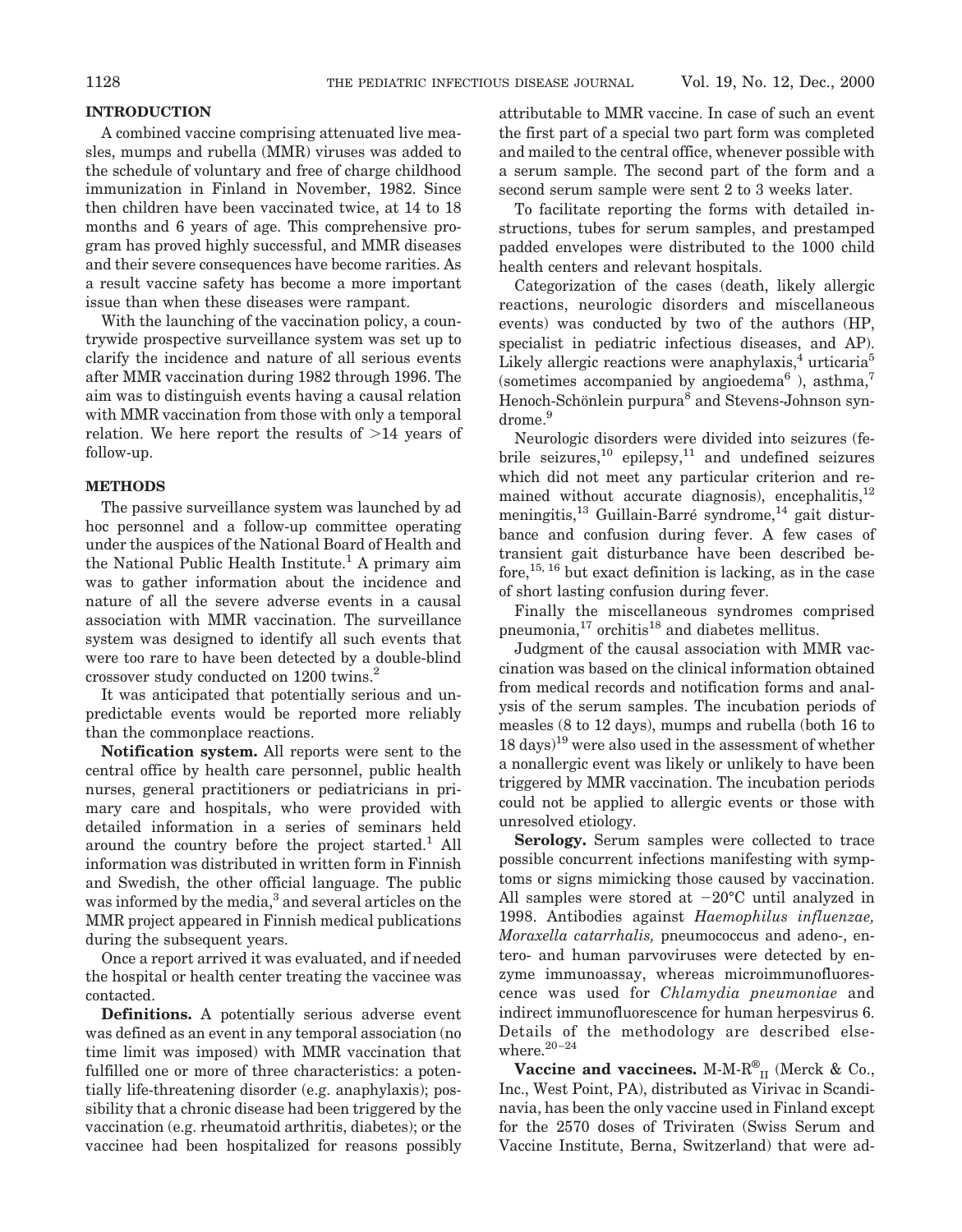### **INTRODUCTION**

A combined vaccine comprising attenuated live measles, mumps and rubella (MMR) viruses was added to the schedule of voluntary and free of charge childhood immunization in Finland in November, 1982. Since then children have been vaccinated twice, at 14 to 18 months and 6 years of age. This comprehensive program has proved highly successful, and MMR diseases and their severe consequences have become rarities. As a result vaccine safety has become a more important issue than when these diseases were rampant.

With the launching of the vaccination policy, a countrywide prospective surveillance system was set up to clarify the incidence and nature of all serious events after MMR vaccination during 1982 through 1996. The aim was to distinguish events having a causal relation with MMR vaccination from those with only a temporal relation. We here report the results of  $>14$  years of follow-up.

### **METHODS**

The passive surveillance system was launched by ad hoc personnel and a follow-up committee operating under the auspices of the National Board of Health and the National Public Health Institute.<sup>1</sup> A primary aim was to gather information about the incidence and nature of all the severe adverse events in a causal association with MMR vaccination. The surveillance system was designed to identify all such events that were too rare to have been detected by a double-blind crossover study conducted on 1200 twins.<sup>2</sup>

It was anticipated that potentially serious and unpredictable events would be reported more reliably than the commonplace reactions.

**Notification system.** All reports were sent to the central office by health care personnel, public health nurses, general practitioners or pediatricians in primary care and hospitals, who were provided with detailed information in a series of seminars held around the country before the project started.<sup>1</sup> All information was distributed in written form in Finnish and Swedish, the other official language. The public was informed by the media,<sup>3</sup> and several articles on the MMR project appeared in Finnish medical publications during the subsequent years.

Once a report arrived it was evaluated, and if needed the hospital or health center treating the vaccinee was contacted.

**Definitions.** A potentially serious adverse event was defined as an event in any temporal association (no time limit was imposed) with MMR vaccination that fulfilled one or more of three characteristics: a potentially life-threatening disorder (e.g. anaphylaxis); possibility that a chronic disease had been triggered by the vaccination (e.g. rheumatoid arthritis, diabetes); or the vaccinee had been hospitalized for reasons possibly

attributable to MMR vaccine. In case of such an event the first part of a special two part form was completed and mailed to the central office, whenever possible with a serum sample. The second part of the form and a second serum sample were sent 2 to 3 weeks later.

To facilitate reporting the forms with detailed instructions, tubes for serum samples, and prestamped padded envelopes were distributed to the 1000 child health centers and relevant hospitals.

Categorization of the cases (death, likely allergic reactions, neurologic disorders and miscellaneous events) was conducted by two of the authors (HP, specialist in pediatric infectious diseases, and AP). Likely allergic reactions were anaphylaxis,<sup>4</sup> urticaria<sup>5</sup> (sometimes accompanied by angioedema<sup>6</sup>), asthma,<sup>7</sup> Henoch-Schönlein purpura<sup>8</sup> and Stevens-Johnson syndrome.<sup>9</sup>

Neurologic disorders were divided into seizures (febrile seizures, $^{10}$  epilepsy, $^{11}$  and undefined seizures which did not meet any particular criterion and remained without accurate diagnosis), encephalitis, $12$ meningitis,<sup>13</sup> Guillain-Barré syndrome,<sup>14</sup> gait disturbance and confusion during fever. A few cases of transient gait disturbance have been described before,  $^{15, 16}$  but exact definition is lacking, as in the case of short lasting confusion during fever.

Finally the miscellaneous syndromes comprised pneumonia, $17$  orchitis $18$  and diabetes mellitus.

Judgment of the causal association with MMR vaccination was based on the clinical information obtained from medical records and notification forms and analysis of the serum samples. The incubation periods of measles (8 to 12 days), mumps and rubella (both 16 to  $18 \text{ days}$ <sup>19</sup> were also used in the assessment of whether a nonallergic event was likely or unlikely to have been triggered by MMR vaccination. The incubation periods could not be applied to allergic events or those with unresolved etiology.

**Serology.** Serum samples were collected to trace possible concurrent infections manifesting with symptoms or signs mimicking those caused by vaccination. All samples were stored at  $-20^{\circ}$ C until analyzed in 1998. Antibodies against *Haemophilus influenzae, Moraxella catarrhalis,* pneumococcus and adeno-, entero- and human parvoviruses were detected by enzyme immunoassay, whereas microimmunofluorescence was used for *Chlamydia pneumoniae* and indirect immunofluorescence for human herpesvirus 6. Details of the methodology are described elsewhere. $20-24$ 

Vaccine and vaccinees. M-M-R<sup>®</sup><sub>II</sub> (Merck & Co., Inc., West Point, PA), distributed as Virivac in Scandinavia, has been the only vaccine used in Finland except for the 2570 doses of Triviraten (Swiss Serum and Vaccine Institute, Berna, Switzerland) that were ad-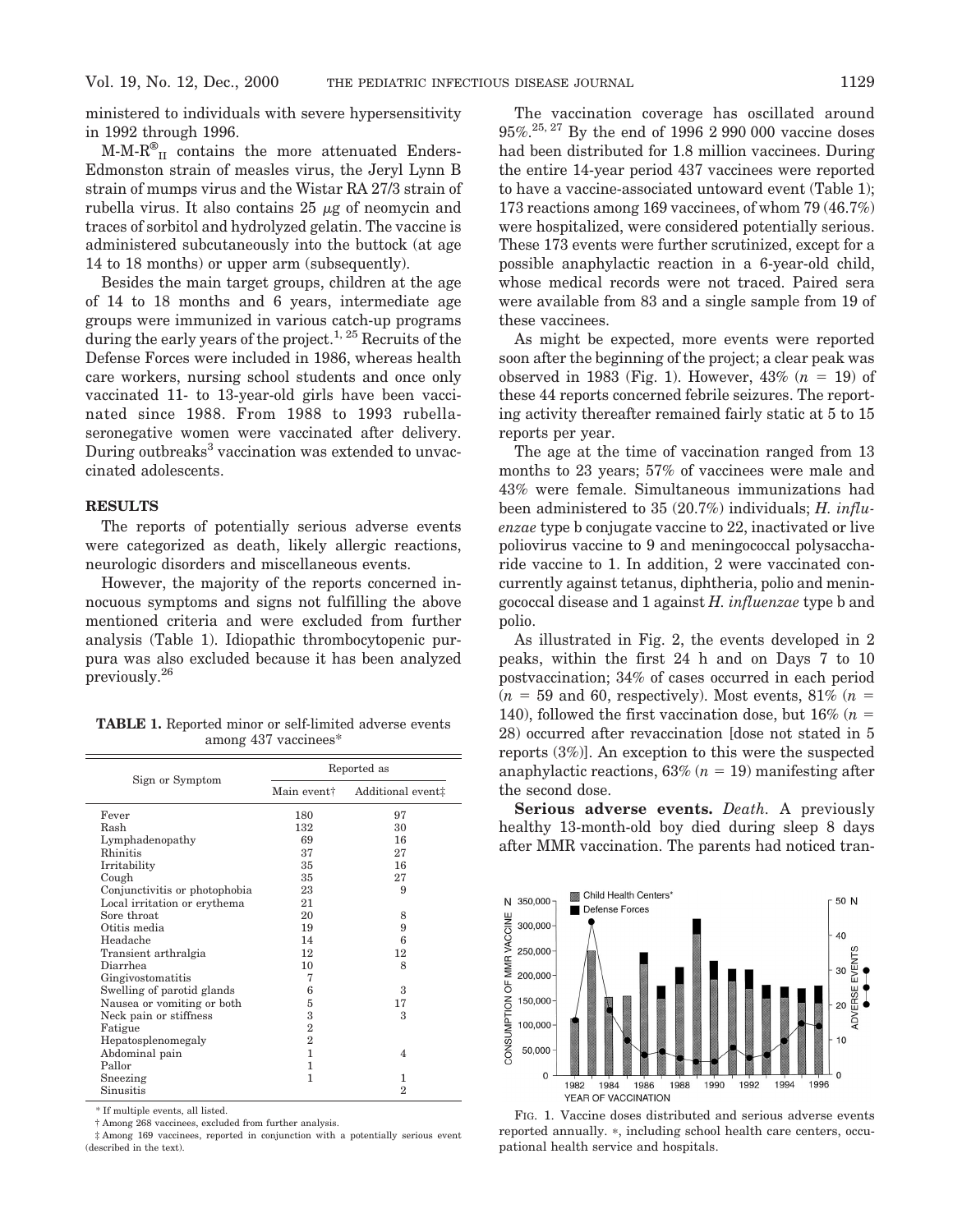ministered to individuals with severe hypersensitivity in 1992 through 1996.

 $M-M-R^{\circledast}_{II}$  contains the more attenuated Enders-Edmonston strain of measles virus, the Jeryl Lynn B strain of mumps virus and the Wistar RA 27/3 strain of rubella virus. It also contains  $25 \mu$ g of neomycin and traces of sorbitol and hydrolyzed gelatin. The vaccine is administered subcutaneously into the buttock (at age 14 to 18 months) or upper arm (subsequently).

Besides the main target groups, children at the age of 14 to 18 months and 6 years, intermediate age groups were immunized in various catch-up programs during the early years of the project.<sup>1, 25</sup> Recruits of the Defense Forces were included in 1986, whereas health care workers, nursing school students and once only vaccinated 11- to 13-year-old girls have been vaccinated since 1988. From 1988 to 1993 rubellaseronegative women were vaccinated after delivery. During outbreaks<sup>3</sup> vaccination was extended to unvaccinated adolescents.

### **RESULTS**

The reports of potentially serious adverse events were categorized as death, likely allergic reactions, neurologic disorders and miscellaneous events.

However, the majority of the reports concerned innocuous symptoms and signs not fulfilling the above mentioned criteria and were excluded from further analysis (Table 1). Idiopathic thrombocytopenic purpura was also excluded because it has been analyzed previously.26

**TABLE 1.** Reported minor or self-limited adverse events among 437 vaccinees\*

|                               | Reported as    |                   |  |  |  |
|-------------------------------|----------------|-------------------|--|--|--|
| Sign or Symptom               | Main event†    | Additional event# |  |  |  |
| Fever                         | 180            | 97                |  |  |  |
| Rash                          | 132            | 30                |  |  |  |
| Lymphadenopathy               | 69             | 16                |  |  |  |
| Rhinitis                      | 37             | 27                |  |  |  |
| Irritability                  | 35             | 16                |  |  |  |
| Cough                         | 35             | 27                |  |  |  |
| Conjunctivitis or photophobia | 23             | 9                 |  |  |  |
| Local irritation or erythema  | 21             |                   |  |  |  |
| Sore throat                   | 20             | 8                 |  |  |  |
| Otitis media                  | 19             | 9                 |  |  |  |
| Headache                      | 14             | 6                 |  |  |  |
| Transient arthralgia          | 12             | 12                |  |  |  |
| Diarrhea                      | 10             | 8                 |  |  |  |
| Gingivostomatitis             | 7              |                   |  |  |  |
| Swelling of parotid glands    | 6              | 3                 |  |  |  |
| Nausea or vomiting or both    | 5              | 17                |  |  |  |
| Neck pain or stiffness        | 3              | 3                 |  |  |  |
| Fatigue                       | $\overline{2}$ |                   |  |  |  |
| Hepatosplenomegaly            | $\overline{2}$ |                   |  |  |  |
| Abdominal pain                | 1              | $\overline{4}$    |  |  |  |
| Pallor                        | 1              |                   |  |  |  |
| Sneezing                      | 1              | 1                 |  |  |  |
| Sinusitis                     |                | $\overline{2}$    |  |  |  |

\* If multiple events, all listed.

† Among 268 vaccinees, excluded from further analysis.

‡ Among 169 vaccinees, reported in conjunction with a potentially serious event (described in the text).

The vaccination coverage has oscillated around 95%.25, 27 By the end of 1996 2 990 000 vaccine doses had been distributed for 1.8 million vaccinees. During the entire 14-year period 437 vaccinees were reported to have a vaccine-associated untoward event (Table 1); 173 reactions among 169 vaccinees, of whom 79 (46.7%) were hospitalized, were considered potentially serious. These 173 events were further scrutinized, except for a possible anaphylactic reaction in a 6-year-old child, whose medical records were not traced. Paired sera were available from 83 and a single sample from 19 of these vaccinees.

As might be expected, more events were reported soon after the beginning of the project; a clear peak was observed in 1983 (Fig. 1). However,  $43\%$  ( $n = 19$ ) of these 44 reports concerned febrile seizures. The reporting activity thereafter remained fairly static at 5 to 15 reports per year.

The age at the time of vaccination ranged from 13 months to 23 years; 57% of vaccinees were male and 43% were female. Simultaneous immunizations had been administered to 35 (20.7%) individuals; *H. influenzae* type b conjugate vaccine to 22, inactivated or live poliovirus vaccine to 9 and meningococcal polysaccharide vaccine to 1. In addition, 2 were vaccinated concurrently against tetanus, diphtheria, polio and meningococcal disease and 1 against *H. influenzae* type b and polio.

As illustrated in Fig. 2, the events developed in 2 peaks, within the first 24 h and on Days 7 to 10 postvaccination; 34% of cases occurred in each period  $(n = 59$  and 60, respectively). Most events, 81%  $(n = 59)$ 140), followed the first vaccination dose, but  $16\%$  ( $n =$ 28) occurred after revaccination [dose not stated in 5 reports (3%)]. An exception to this were the suspected anaphylactic reactions,  $63\%$  ( $n = 19$ ) manifesting after the second dose.

**Serious adverse events.** *Death.* A previously healthy 13-month-old boy died during sleep 8 days after MMR vaccination. The parents had noticed tran-



FIG. 1. Vaccine doses distributed and serious adverse events reported annually. \*, including school health care centers, occupational health service and hospitals.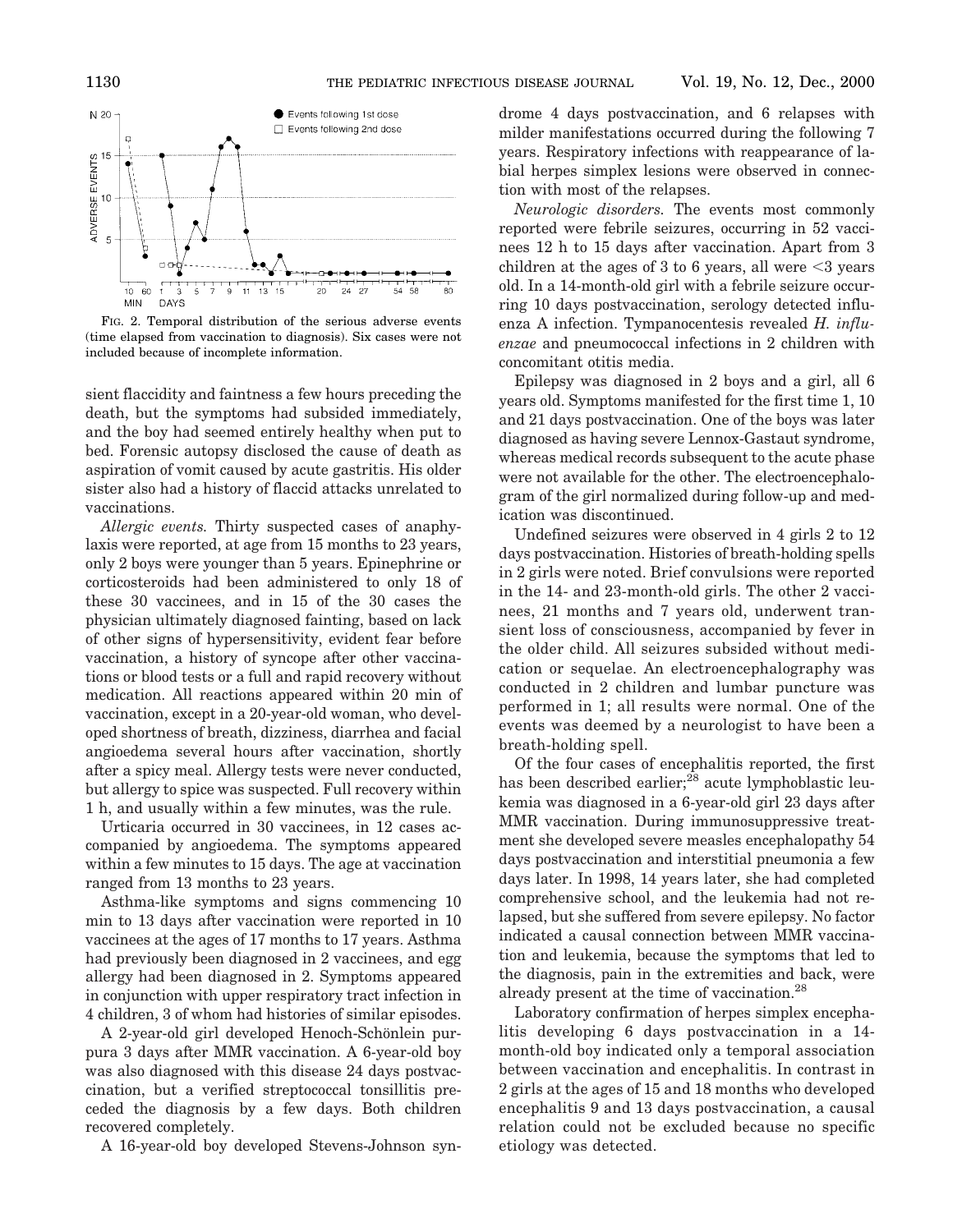

FIG. 2. Temporal distribution of the serious adverse events (time elapsed from vaccination to diagnosis). Six cases were not included because of incomplete information.

sient flaccidity and faintness a few hours preceding the death, but the symptoms had subsided immediately, and the boy had seemed entirely healthy when put to bed. Forensic autopsy disclosed the cause of death as aspiration of vomit caused by acute gastritis. His older sister also had a history of flaccid attacks unrelated to vaccinations.

*Allergic events.* Thirty suspected cases of anaphylaxis were reported, at age from 15 months to 23 years, only 2 boys were younger than 5 years. Epinephrine or corticosteroids had been administered to only 18 of these 30 vaccinees, and in 15 of the 30 cases the physician ultimately diagnosed fainting, based on lack of other signs of hypersensitivity, evident fear before vaccination, a history of syncope after other vaccinations or blood tests or a full and rapid recovery without medication. All reactions appeared within 20 min of vaccination, except in a 20-year-old woman, who developed shortness of breath, dizziness, diarrhea and facial angioedema several hours after vaccination, shortly after a spicy meal. Allergy tests were never conducted, but allergy to spice was suspected. Full recovery within 1 h, and usually within a few minutes, was the rule.

Urticaria occurred in 30 vaccinees, in 12 cases accompanied by angioedema. The symptoms appeared within a few minutes to 15 days. The age at vaccination ranged from 13 months to 23 years.

Asthma-like symptoms and signs commencing 10 min to 13 days after vaccination were reported in 10 vaccinees at the ages of 17 months to 17 years. Asthma had previously been diagnosed in 2 vaccinees, and egg allergy had been diagnosed in 2. Symptoms appeared in conjunction with upper respiratory tract infection in 4 children, 3 of whom had histories of similar episodes.

A 2-year-old girl developed Henoch-Schönlein purpura 3 days after MMR vaccination. A 6-year-old boy was also diagnosed with this disease 24 days postvaccination, but a verified streptococcal tonsillitis preceded the diagnosis by a few days. Both children recovered completely.

A 16-year-old boy developed Stevens-Johnson syn-

drome 4 days postvaccination, and 6 relapses with milder manifestations occurred during the following 7 years. Respiratory infections with reappearance of labial herpes simplex lesions were observed in connection with most of the relapses.

*Neurologic disorders.* The events most commonly reported were febrile seizures, occurring in 52 vaccinees 12 h to 15 days after vaccination. Apart from 3 children at the ages of 3 to 6 years, all were  $\leq$ 3 years old. In a 14-month-old girl with a febrile seizure occurring 10 days postvaccination, serology detected influenza A infection. Tympanocentesis revealed *H. influenzae* and pneumococcal infections in 2 children with concomitant otitis media.

Epilepsy was diagnosed in 2 boys and a girl, all 6 years old. Symptoms manifested for the first time 1, 10 and 21 days postvaccination. One of the boys was later diagnosed as having severe Lennox-Gastaut syndrome, whereas medical records subsequent to the acute phase were not available for the other. The electroencephalogram of the girl normalized during follow-up and medication was discontinued.

Undefined seizures were observed in 4 girls 2 to 12 days postvaccination. Histories of breath-holding spells in 2 girls were noted. Brief convulsions were reported in the 14- and 23-month-old girls. The other 2 vaccinees, 21 months and 7 years old, underwent transient loss of consciousness, accompanied by fever in the older child. All seizures subsided without medication or sequelae. An electroencephalography was conducted in 2 children and lumbar puncture was performed in 1; all results were normal. One of the events was deemed by a neurologist to have been a breath-holding spell.

Of the four cases of encephalitis reported, the first has been described earlier; $^{28}$  acute lymphoblastic leukemia was diagnosed in a 6-year-old girl 23 days after MMR vaccination. During immunosuppressive treatment she developed severe measles encephalopathy 54 days postvaccination and interstitial pneumonia a few days later. In 1998, 14 years later, she had completed comprehensive school, and the leukemia had not relapsed, but she suffered from severe epilepsy. No factor indicated a causal connection between MMR vaccination and leukemia, because the symptoms that led to the diagnosis, pain in the extremities and back, were already present at the time of vaccination.28

Laboratory confirmation of herpes simplex encephalitis developing 6 days postvaccination in a 14 month-old boy indicated only a temporal association between vaccination and encephalitis. In contrast in 2 girls at the ages of 15 and 18 months who developed encephalitis 9 and 13 days postvaccination, a causal relation could not be excluded because no specific etiology was detected.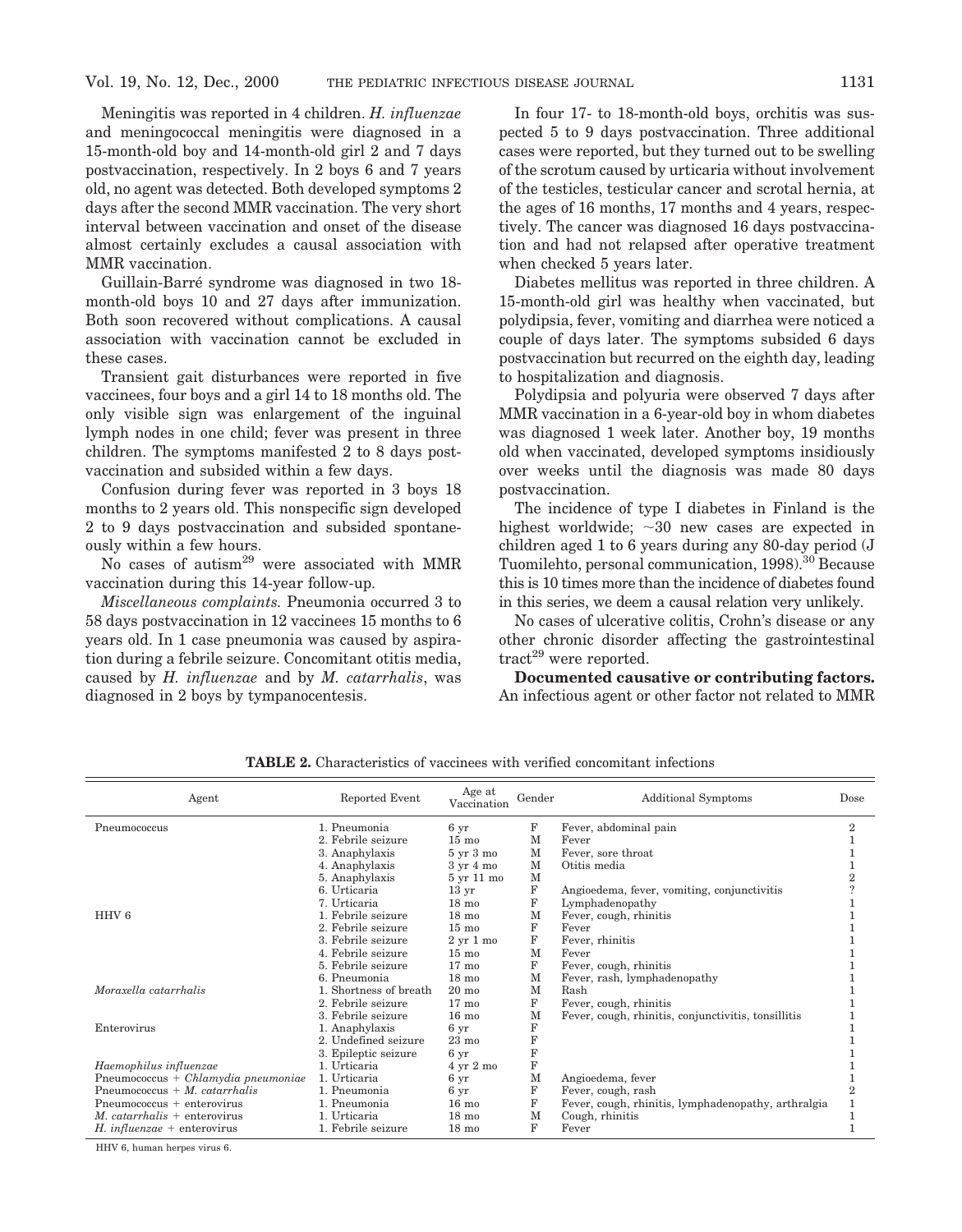Meningitis was reported in 4 children. *H. influenzae* and meningococcal meningitis were diagnosed in a 15-month-old boy and 14-month-old girl 2 and 7 days postvaccination, respectively. In 2 boys 6 and 7 years old, no agent was detected. Both developed symptoms 2 days after the second MMR vaccination. The very short interval between vaccination and onset of the disease almost certainly excludes a causal association with MMR vaccination.

Guillain-Barre´ syndrome was diagnosed in two 18 month-old boys 10 and 27 days after immunization. Both soon recovered without complications. A causal association with vaccination cannot be excluded in these cases.

Transient gait disturbances were reported in five vaccinees, four boys and a girl 14 to 18 months old. The only visible sign was enlargement of the inguinal lymph nodes in one child; fever was present in three children. The symptoms manifested 2 to 8 days postvaccination and subsided within a few days.

Confusion during fever was reported in 3 boys 18 months to 2 years old. This nonspecific sign developed 2 to 9 days postvaccination and subsided spontaneously within a few hours.

No cases of autism29 were associated with MMR vaccination during this 14-year follow-up.

*Miscellaneous complaints.* Pneumonia occurred 3 to 58 days postvaccination in 12 vaccinees 15 months to 6 years old. In 1 case pneumonia was caused by aspiration during a febrile seizure. Concomitant otitis media, caused by *H. influenzae* and by *M. catarrhalis*, was diagnosed in 2 boys by tympanocentesis.

In four 17- to 18-month-old boys, orchitis was suspected 5 to 9 days postvaccination. Three additional cases were reported, but they turned out to be swelling of the scrotum caused by urticaria without involvement of the testicles, testicular cancer and scrotal hernia, at the ages of 16 months, 17 months and 4 years, respectively. The cancer was diagnosed 16 days postvaccination and had not relapsed after operative treatment when checked 5 years later.

Diabetes mellitus was reported in three children. A 15-month-old girl was healthy when vaccinated, but polydipsia, fever, vomiting and diarrhea were noticed a couple of days later. The symptoms subsided 6 days postvaccination but recurred on the eighth day, leading to hospitalization and diagnosis.

Polydipsia and polyuria were observed 7 days after MMR vaccination in a 6-year-old boy in whom diabetes was diagnosed 1 week later. Another boy, 19 months old when vaccinated, developed symptoms insidiously over weeks until the diagnosis was made 80 days postvaccination.

The incidence of type I diabetes in Finland is the highest worldwide;  $\sim 30$  new cases are expected in children aged 1 to 6 years during any 80-day period (J Tuomilehto, personal communication, 1998).<sup>30</sup> Because this is 10 times more than the incidence of diabetes found in this series, we deem a causal relation very unlikely.

No cases of ulcerative colitis, Crohn's disease or any other chronic disorder affecting the gastrointestinal  $\text{tract}^{29}$  were reported.

**Documented causative or contributing factors.** An infectious agent or other factor not related to MMR

| Agent                                         | Reported Event         | Age at<br>Vaccination        | Gender      | <b>Additional Symptoms</b>                          | Dose           |
|-----------------------------------------------|------------------------|------------------------------|-------------|-----------------------------------------------------|----------------|
| Pneumococcus                                  | 1. Pneumonia           | 6 yr                         | F           | Fever, abdominal pain                               | $\overline{2}$ |
|                                               | 2. Febrile seizure     | $15 \text{ mo}$              | М           | Fever                                               |                |
|                                               | 3. Anaphylaxis         | $5 \text{ yr } 3 \text{ mo}$ | М           | Fever, sore throat                                  |                |
|                                               | 4. Anaphylaxis         | $3 \text{ yr} 4 \text{ mo}$  | М           | Otitis media                                        |                |
|                                               | 5. Anaphylaxis         | 5 yr 11 mo                   | M           |                                                     |                |
|                                               | 6. Urticaria           | 13 <sub>yr</sub>             | $\mathbf F$ | Angioedema, fever, vomiting, conjunctivitis         |                |
|                                               | 7. Urticaria           | $18 \text{ mo}$              | F           | Lymphadenopathy                                     |                |
| HHV <sub>6</sub>                              | 1. Febrile seizure     | $18 \text{ mo}$              | м           | Fever, cough, rhinitis                              |                |
|                                               | 2. Febrile seizure     | $15 \text{ mo}$              | F           | Fever                                               |                |
|                                               | 3. Febrile seizure     | $2 \text{ yr} 1 \text{ mo}$  | F           | Fever, rhinitis                                     |                |
|                                               | 4. Febrile seizure     | $15 \text{ mo}$              | M           | Fever                                               |                |
|                                               | 5. Febrile seizure     | $17 \text{ mo}$              | F           | Fever, cough, rhinitis                              |                |
|                                               | 6. Pneumonia           | $18 \text{ mo}$              | M           | Fever, rash, lymphadenopathy                        |                |
| Moraxella catarrhalis                         | 1. Shortness of breath | $20 \text{ mo}$              | M           | Rash                                                |                |
|                                               | 2. Febrile seizure     | $17 \text{ mo}$              | F           | Fever, cough, rhinitis                              |                |
|                                               | 3. Febrile seizure     | $16 \text{ mo}$              | M           | Fever, cough, rhinitis, conjunctivitis, tonsillitis |                |
| Enterovirus                                   | 1. Anaphylaxis         | 6 yr                         | $\mathbf F$ |                                                     |                |
|                                               | 2. Undefined seizure   | $23 \text{ mo}$              | F           |                                                     |                |
|                                               | 3. Epileptic seizure   | 6 yr                         | F           |                                                     |                |
| Haemophilus influenzae                        | 1. Urticaria           | 4 yr 2 mo                    | F           |                                                     |                |
| $P$ neumococcus + <i>Chlamydia pneumoniae</i> | 1. Urticaria           | 6 yr                         | M           | Angioedema, fever                                   |                |
| Pneumococcus + $M$ . catarrhalis              | 1. Pneumonia           | 6 yr                         | F           | Fever, cough, rash                                  |                |
| $P$ neumococcus + enterovirus                 | 1. Pneumonia           | $16 \text{ mo}$              | F           | Fever, cough, rhinitis, lymphadenopathy, arthralgia |                |
| $M.$ catarrhalis + enterovirus                | 1. Urticaria           | $18 \text{ mo}$              | М           | Cough, rhinitis                                     |                |
| H. <i>influenzae</i> + enterovirus            | 1. Febrile seizure     | $18 \text{ mo}$              | F           | Fever                                               |                |

**TABLE 2.** Characteristics of vaccinees with verified concomitant infections

HHV 6, human herpes virus 6.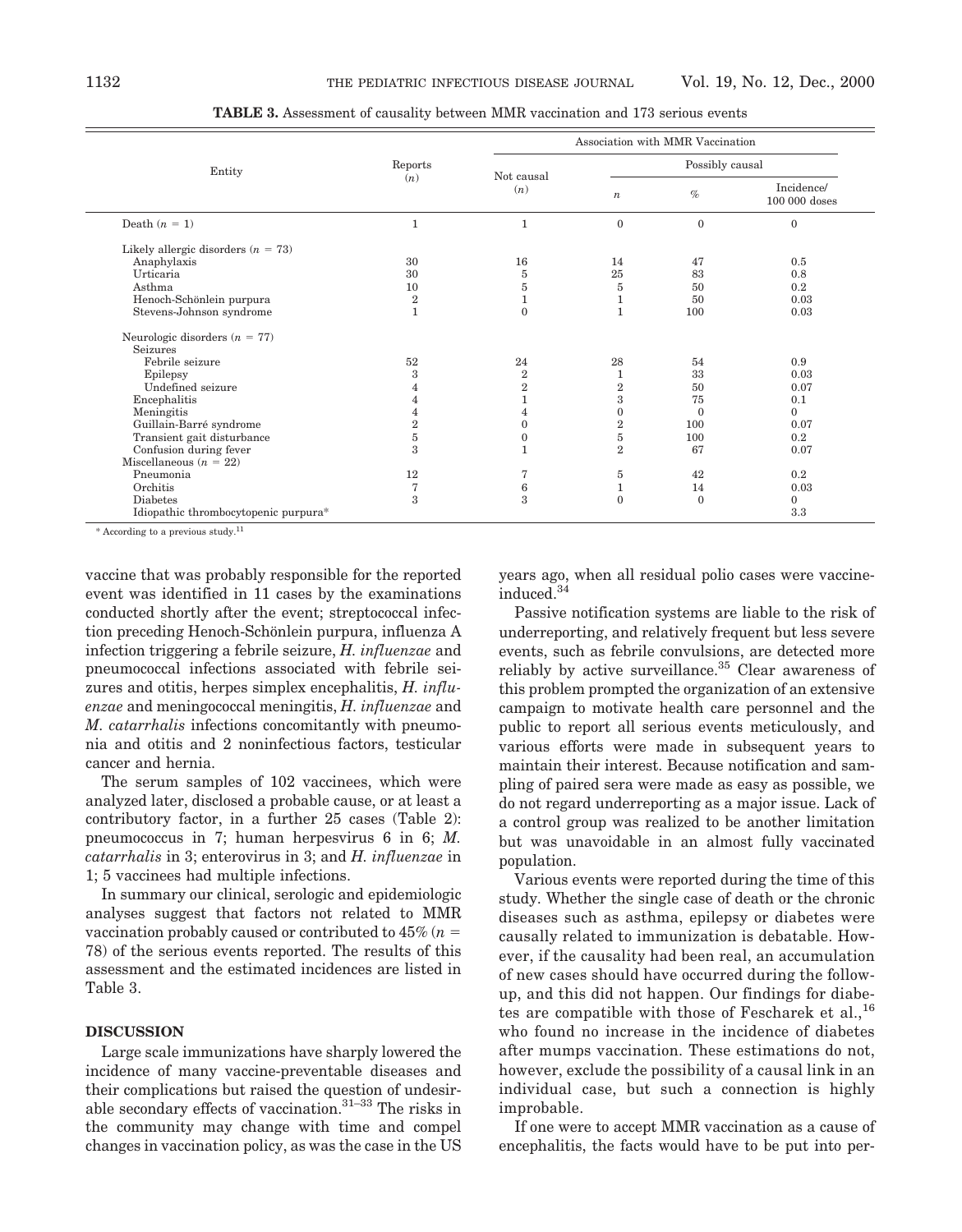| Entity                               | Reports | Association with MMR Vaccination<br>Possibly causal<br>Not causal<br>(n)<br>Incidence/<br>(n)<br>$\%$<br>$\boldsymbol{n}$<br>100 000 doses<br>$\mathbf{0}$<br>$\mathbf{0}$<br>$\mathbf{0}$<br>$\mathbf{1}$<br>$\mathbf{1}$<br>30<br>16<br>47<br>0.5<br>14<br>25<br>30<br>83<br>0.8<br>5<br>$\bf 5$<br>10<br>$5\,$<br>0.2<br>50<br>$\,2$<br>50<br>0.03<br>$\mathbf{1}$<br>1<br>$\mathbf{1}$<br>$\mathbf{1}$<br>$\Omega$<br>100<br>0.03<br>52<br>24<br>28<br>0.9<br>54<br>3<br>$\overline{2}$<br>33<br>0.03<br>$\mathbf{1}$<br>$\overline{2}$<br>$\overline{2}$<br>0.07<br>50<br>4<br>3<br>75<br>1<br>0.1<br>4<br>$\mathbf{0}$<br>$\Omega$<br>$\Omega$<br>$\overline{4}$<br>4<br>$\,2$<br>$\,2$<br>100<br>$\mathbf{0}$<br>0.07<br>$\bf 5$<br>5<br>100<br>0.2<br>$\mathbf{0}$<br>$\mathcal{R}$<br>$\overline{2}$<br>67<br>0.07<br>12<br>$\overline{5}$<br>0.2<br>7<br>42<br>$\mathbf{1}$<br>0.03<br>7<br>6<br>14<br>$\mathcal{R}$<br>$\overline{\mathbf{3}}$<br>$\Omega$<br>$\Omega$<br>$\Omega$ |  |  |     |
|--------------------------------------|---------|-----------------------------------------------------------------------------------------------------------------------------------------------------------------------------------------------------------------------------------------------------------------------------------------------------------------------------------------------------------------------------------------------------------------------------------------------------------------------------------------------------------------------------------------------------------------------------------------------------------------------------------------------------------------------------------------------------------------------------------------------------------------------------------------------------------------------------------------------------------------------------------------------------------------------------------------------------------------------------------------------|--|--|-----|
|                                      |         |                                                                                                                                                                                                                                                                                                                                                                                                                                                                                                                                                                                                                                                                                                                                                                                                                                                                                                                                                                                               |  |  |     |
| Death $(n = 1)$                      |         |                                                                                                                                                                                                                                                                                                                                                                                                                                                                                                                                                                                                                                                                                                                                                                                                                                                                                                                                                                                               |  |  |     |
| Likely allergic disorders $(n = 73)$ |         |                                                                                                                                                                                                                                                                                                                                                                                                                                                                                                                                                                                                                                                                                                                                                                                                                                                                                                                                                                                               |  |  |     |
| Anaphylaxis                          |         |                                                                                                                                                                                                                                                                                                                                                                                                                                                                                                                                                                                                                                                                                                                                                                                                                                                                                                                                                                                               |  |  |     |
| Urticaria                            |         |                                                                                                                                                                                                                                                                                                                                                                                                                                                                                                                                                                                                                                                                                                                                                                                                                                                                                                                                                                                               |  |  |     |
| Asthma                               |         |                                                                                                                                                                                                                                                                                                                                                                                                                                                                                                                                                                                                                                                                                                                                                                                                                                                                                                                                                                                               |  |  |     |
| Henoch-Schönlein purpura             |         |                                                                                                                                                                                                                                                                                                                                                                                                                                                                                                                                                                                                                                                                                                                                                                                                                                                                                                                                                                                               |  |  |     |
| Stevens-Johnson syndrome             |         |                                                                                                                                                                                                                                                                                                                                                                                                                                                                                                                                                                                                                                                                                                                                                                                                                                                                                                                                                                                               |  |  |     |
| Neurologic disorders $(n = 77)$      |         |                                                                                                                                                                                                                                                                                                                                                                                                                                                                                                                                                                                                                                                                                                                                                                                                                                                                                                                                                                                               |  |  |     |
| <b>Seizures</b>                      |         |                                                                                                                                                                                                                                                                                                                                                                                                                                                                                                                                                                                                                                                                                                                                                                                                                                                                                                                                                                                               |  |  |     |
| Febrile seizure                      |         |                                                                                                                                                                                                                                                                                                                                                                                                                                                                                                                                                                                                                                                                                                                                                                                                                                                                                                                                                                                               |  |  |     |
| Epilepsy                             |         |                                                                                                                                                                                                                                                                                                                                                                                                                                                                                                                                                                                                                                                                                                                                                                                                                                                                                                                                                                                               |  |  |     |
| Undefined seizure                    |         |                                                                                                                                                                                                                                                                                                                                                                                                                                                                                                                                                                                                                                                                                                                                                                                                                                                                                                                                                                                               |  |  |     |
| Encephalitis                         |         |                                                                                                                                                                                                                                                                                                                                                                                                                                                                                                                                                                                                                                                                                                                                                                                                                                                                                                                                                                                               |  |  |     |
| Meningitis                           |         |                                                                                                                                                                                                                                                                                                                                                                                                                                                                                                                                                                                                                                                                                                                                                                                                                                                                                                                                                                                               |  |  |     |
| Guillain-Barré syndrome              |         |                                                                                                                                                                                                                                                                                                                                                                                                                                                                                                                                                                                                                                                                                                                                                                                                                                                                                                                                                                                               |  |  |     |
| Transient gait disturbance           |         |                                                                                                                                                                                                                                                                                                                                                                                                                                                                                                                                                                                                                                                                                                                                                                                                                                                                                                                                                                                               |  |  |     |
| Confusion during fever               |         |                                                                                                                                                                                                                                                                                                                                                                                                                                                                                                                                                                                                                                                                                                                                                                                                                                                                                                                                                                                               |  |  |     |
| Miscellaneous $(n = 22)$             |         |                                                                                                                                                                                                                                                                                                                                                                                                                                                                                                                                                                                                                                                                                                                                                                                                                                                                                                                                                                                               |  |  |     |
| Pneumonia                            |         |                                                                                                                                                                                                                                                                                                                                                                                                                                                                                                                                                                                                                                                                                                                                                                                                                                                                                                                                                                                               |  |  |     |
| Orchitis                             |         |                                                                                                                                                                                                                                                                                                                                                                                                                                                                                                                                                                                                                                                                                                                                                                                                                                                                                                                                                                                               |  |  |     |
| <b>Diabetes</b>                      |         |                                                                                                                                                                                                                                                                                                                                                                                                                                                                                                                                                                                                                                                                                                                                                                                                                                                                                                                                                                                               |  |  |     |
| Idiopathic thrombocytopenic purpura* |         |                                                                                                                                                                                                                                                                                                                                                                                                                                                                                                                                                                                                                                                                                                                                                                                                                                                                                                                                                                                               |  |  | 3.3 |

**TABLE 3.** Assessment of causality between MMR vaccination and 173 serious events

 $*$  According to a previous study.<sup>11</sup>

vaccine that was probably responsible for the reported event was identified in 11 cases by the examinations conducted shortly after the event; streptococcal infection preceding Henoch-Schönlein purpura, influenza A infection triggering a febrile seizure, *H. influenzae* and pneumococcal infections associated with febrile seizures and otitis, herpes simplex encephalitis, *H. influenzae* and meningococcal meningitis, *H. influenzae* and *M. catarrhalis* infections concomitantly with pneumonia and otitis and 2 noninfectious factors, testicular cancer and hernia.

The serum samples of 102 vaccinees, which were analyzed later, disclosed a probable cause, or at least a contributory factor, in a further 25 cases (Table 2): pneumococcus in 7; human herpesvirus 6 in 6; *M. catarrhalis* in 3; enterovirus in 3; and *H. influenzae* in 1; 5 vaccinees had multiple infections.

In summary our clinical, serologic and epidemiologic analyses suggest that factors not related to MMR vaccination probably caused or contributed to  $45\%$  ( $n=$ 78) of the serious events reported. The results of this assessment and the estimated incidences are listed in Table 3.

### **DISCUSSION**

Large scale immunizations have sharply lowered the incidence of many vaccine-preventable diseases and their complications but raised the question of undesirable secondary effects of vaccination.31–33 The risks in the community may change with time and compel changes in vaccination policy, as was the case in the US years ago, when all residual polio cases were vaccineinduced.34

Passive notification systems are liable to the risk of underreporting, and relatively frequent but less severe events, such as febrile convulsions, are detected more reliably by active surveillance.<sup>35</sup> Clear awareness of this problem prompted the organization of an extensive campaign to motivate health care personnel and the public to report all serious events meticulously, and various efforts were made in subsequent years to maintain their interest. Because notification and sampling of paired sera were made as easy as possible, we do not regard underreporting as a major issue. Lack of a control group was realized to be another limitation but was unavoidable in an almost fully vaccinated population.

Various events were reported during the time of this study. Whether the single case of death or the chronic diseases such as asthma, epilepsy or diabetes were causally related to immunization is debatable. However, if the causality had been real, an accumulation of new cases should have occurred during the followup, and this did not happen. Our findings for diabetes are compatible with those of Fescharek et al.,<sup>16</sup> who found no increase in the incidence of diabetes after mumps vaccination. These estimations do not, however, exclude the possibility of a causal link in an individual case, but such a connection is highly improbable.

If one were to accept MMR vaccination as a cause of encephalitis, the facts would have to be put into per-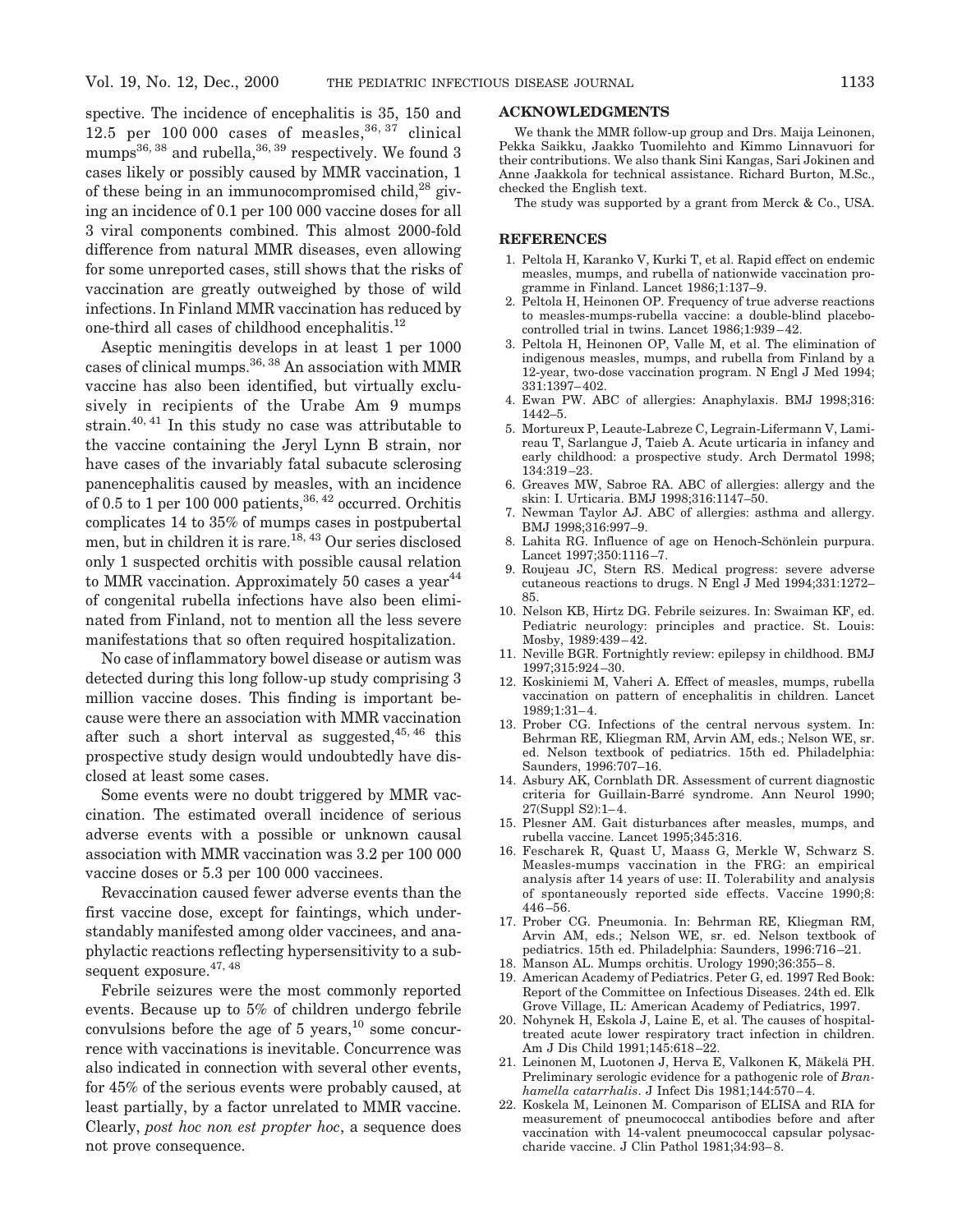spective. The incidence of encephalitis is 35, 150 and 12.5 per 100 000 cases of measles,  $36, 37$  clinical mumps<sup>36, 38</sup> and rubella,<sup>36, 39</sup> respectively. We found 3 cases likely or possibly caused by MMR vaccination, 1 of these being in an immunocompromised child, $^{28}$  giving an incidence of 0.1 per 100 000 vaccine doses for all 3 viral components combined. This almost 2000-fold difference from natural MMR diseases, even allowing for some unreported cases, still shows that the risks of vaccination are greatly outweighed by those of wild infections. In Finland MMR vaccination has reduced by one-third all cases of childhood encephalitis.12

Aseptic meningitis develops in at least 1 per 1000 cases of clinical mumps.<sup>36, 38</sup> An association with MMR vaccine has also been identified, but virtually exclusively in recipients of the Urabe Am 9 mumps strain.40, 41 In this study no case was attributable to the vaccine containing the Jeryl Lynn B strain, nor have cases of the invariably fatal subacute sclerosing panencephalitis caused by measles, with an incidence of 0.5 to 1 per 100 000 patients,  $36, 42$  occurred. Orchitis complicates 14 to 35% of mumps cases in postpubertal men, but in children it is rare.<sup>18, 43</sup> Our series disclosed only 1 suspected orchitis with possible causal relation to MMR vaccination. Approximately 50 cases a year<sup>44</sup> of congenital rubella infections have also been eliminated from Finland, not to mention all the less severe manifestations that so often required hospitalization.

No case of inflammatory bowel disease or autism was detected during this long follow-up study comprising 3 million vaccine doses. This finding is important because were there an association with MMR vaccination after such a short interval as suggested,  $45, 46$  this prospective study design would undoubtedly have disclosed at least some cases.

Some events were no doubt triggered by MMR vaccination. The estimated overall incidence of serious adverse events with a possible or unknown causal association with MMR vaccination was 3.2 per 100 000 vaccine doses or 5.3 per 100 000 vaccinees.

Revaccination caused fewer adverse events than the first vaccine dose, except for faintings, which understandably manifested among older vaccinees, and anaphylactic reactions reflecting hypersensitivity to a subsequent exposure.<sup>47, 48</sup>

Febrile seizures were the most commonly reported events. Because up to 5% of children undergo febrile convulsions before the age of 5 years,  $^{10}$  some concurrence with vaccinations is inevitable. Concurrence was also indicated in connection with several other events, for 45% of the serious events were probably caused, at least partially, by a factor unrelated to MMR vaccine. Clearly, *post hoc non est propter hoc*, a sequence does not prove consequence.

# **ACKNOWLEDGMENTS**

We thank the MMR follow-up group and Drs. Maija Leinonen, Pekka Saikku, Jaakko Tuomilehto and Kimmo Linnavuori for their contributions. We also thank Sini Kangas, Sari Jokinen and Anne Jaakkola for technical assistance. Richard Burton, M.Sc., checked the English text.

The study was supported by a grant from Merck & Co., USA.

#### **REFERENCES**

- 1. Peltola H, Karanko V, Kurki T, et al. Rapid effect on endemic measles, mumps, and rubella of nationwide vaccination programme in Finland. Lancet 1986;1:137–9.
- 2. Peltola H, Heinonen OP. Frequency of true adverse reactions to measles-mumps-rubella vaccine: a double-blind placebocontrolled trial in twins. Lancet 1986;1:939–42.
- 3. Peltola H, Heinonen OP, Valle M, et al. The elimination of indigenous measles, mumps, and rubella from Finland by a 12-year, two-dose vaccination program. N Engl J Med 1994; 331:1397–402.
- 4. Ewan PW. ABC of allergies: Anaphylaxis. BMJ 1998;316: 1442–5.
- 5. Mortureux P, Leaute-Labreze C, Legrain-Lifermann V, Lamireau T, Sarlangue J, Taieb A. Acute urticaria in infancy and early childhood: a prospective study. Arch Dermatol 1998; 134:319–23.
- 6. Greaves MW, Sabroe RA. ABC of allergies: allergy and the skin: I. Urticaria. BMJ 1998;316:1147–50.
- 7. Newman Taylor AJ. ABC of allergies: asthma and allergy. BMJ 1998;316:997–9.
- 8. Lahita RG. Influence of age on Henoch-Schönlein purpura. Lancet 1997;350:1116–7.
- 9. Roujeau JC, Stern RS. Medical progress: severe adverse cutaneous reactions to drugs. N Engl J Med 1994;331:1272– 85.
- 10. Nelson KB, Hirtz DG. Febrile seizures. In: Swaiman KF, ed. Pediatric neurology: principles and practice. St. Louis: Mosby, 1989:439–42.
- 11. Neville BGR. Fortnightly review: epilepsy in childhood. BMJ 1997;315:924–30.
- 12. Koskiniemi M, Vaheri A. Effect of measles, mumps, rubella vaccination on pattern of encephalitis in children. Lancet 1989;1:31–4.
- 13. Prober CG. Infections of the central nervous system. In: Behrman RE, Kliegman RM, Arvin AM, eds.; Nelson WE, sr. ed. Nelson textbook of pediatrics. 15th ed. Philadelphia: Saunders, 1996:707–16.
- 14. Asbury AK, Cornblath DR. Assessment of current diagnostic criteria for Guillain-Barre´ syndrome. Ann Neurol 1990; 27(Suppl S2):1–4.
- 15. Plesner AM. Gait disturbances after measles, mumps, and rubella vaccine. Lancet 1995;345:316.
- 16. Fescharek R, Quast U, Maass G, Merkle W, Schwarz S. Measles-mumps vaccination in the FRG: an empirical analysis after 14 years of use: II. Tolerability and analysis of spontaneously reported side effects. Vaccine 1990;8: 446–56.
- 17. Prober CG. Pneumonia. In: Behrman RE, Kliegman RM, Arvin AM, eds.; Nelson WE, sr. ed. Nelson textbook of pediatrics. 15th ed. Philadelphia: Saunders, 1996:716–21.
- 18. Manson AL. Mumps orchitis. Urology 1990;36:355–8.
- 19. American Academy of Pediatrics. Peter G, ed. 1997 Red Book: Report of the Committee on Infectious Diseases. 24th ed. Elk Grove Village, IL: American Academy of Pediatrics, 1997.
- 20. Nohynek H, Eskola J, Laine E, et al. The causes of hospitaltreated acute lower respiratory tract infection in children. Am J Dis Child 1991;145:618–22.
- 21. Leinonen M, Luotonen J, Herva E, Valkonen K, Mäkelä PH. Preliminary serologic evidence for a pathogenic role of *Branhamella catarrhalis*. J Infect Dis 1981;144:570–4.
- 22. Koskela M, Leinonen M. Comparison of ELISA and RIA for measurement of pneumococcal antibodies before and after vaccination with 14-valent pneumococcal capsular polysaccharide vaccine. J Clin Pathol 1981;34:93–8.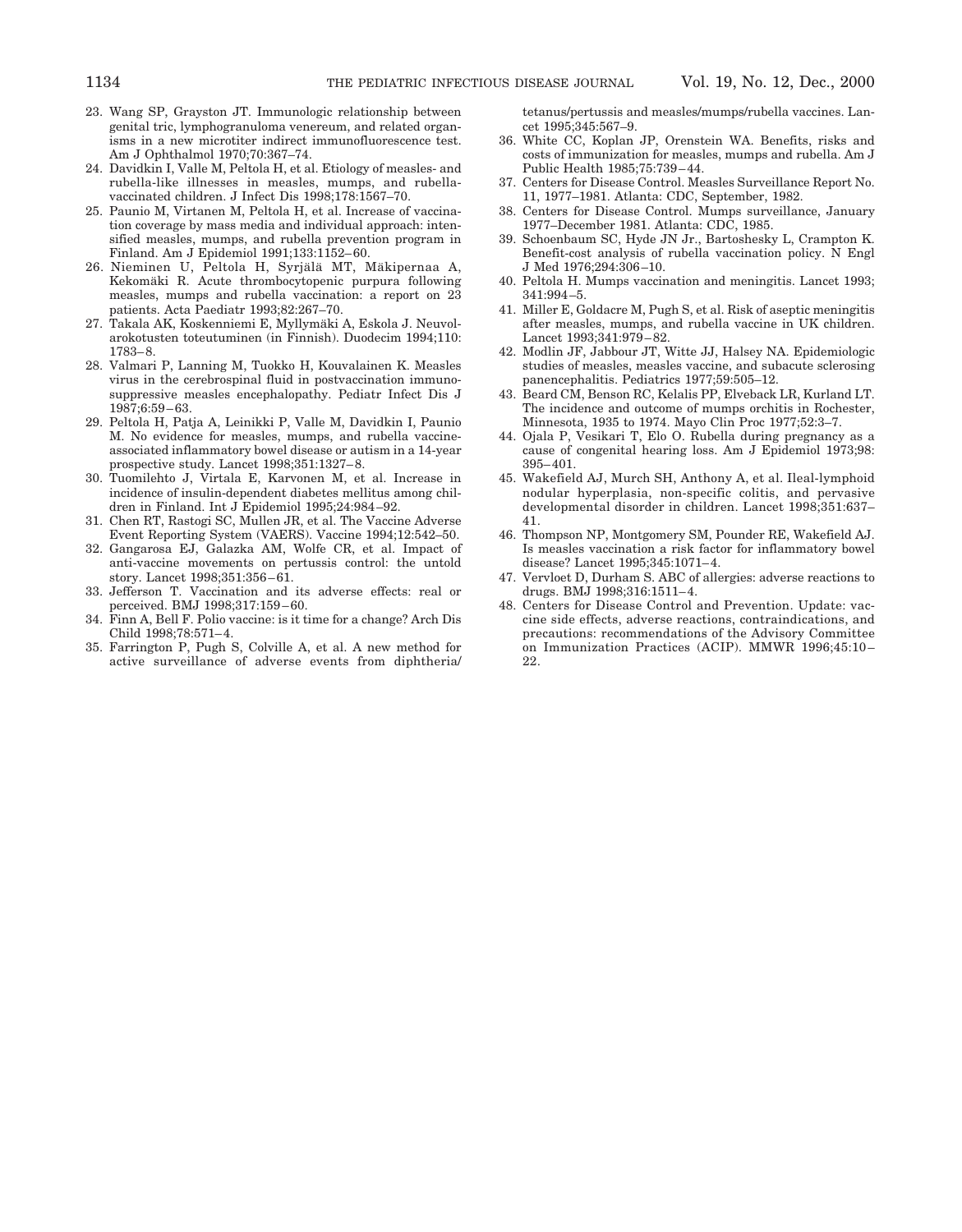- 23. Wang SP, Grayston JT. Immunologic relationship between genital tric, lymphogranuloma venereum, and related organisms in a new microtiter indirect immunofluorescence test. Am J Ophthalmol 1970;70:367–74.
- 24. Davidkin I, Valle M, Peltola H, et al. Etiology of measles- and rubella-like illnesses in measles, mumps, and rubellavaccinated children. J Infect Dis 1998;178:1567–70.
- 25. Paunio M, Virtanen M, Peltola H, et al. Increase of vaccination coverage by mass media and individual approach: intensified measles, mumps, and rubella prevention program in Finland. Am J Epidemiol 1991;133:1152–60.
- 26. Nieminen U, Peltola H, Syriälä MT, Mäkipernaa A, Kekomäki R. Acute thrombocytopenic purpura following measles, mumps and rubella vaccination: a report on 23 patients. Acta Paediatr 1993;82:267–70.
- 27. Takala AK, Koskenniemi E, Myllymäki A, Eskola J. Neuvolarokotusten toteutuminen (in Finnish). Duodecim 1994;110: 1783–8.
- 28. Valmari P, Lanning M, Tuokko H, Kouvalainen K. Measles virus in the cerebrospinal fluid in postvaccination immunosuppressive measles encephalopathy. Pediatr Infect Dis J 1987;6:59–63.
- 29. Peltola H, Patja A, Leinikki P, Valle M, Davidkin I, Paunio M. No evidence for measles, mumps, and rubella vaccineassociated inflammatory bowel disease or autism in a 14-year prospective study. Lancet 1998;351:1327–8.
- 30. Tuomilehto J, Virtala E, Karvonen M, et al. Increase in incidence of insulin-dependent diabetes mellitus among children in Finland. Int J Epidemiol 1995;24:984–92.
- 31. Chen RT, Rastogi SC, Mullen JR, et al. The Vaccine Adverse Event Reporting System (VAERS). Vaccine 1994;12:542–50.
- 32. Gangarosa EJ, Galazka AM, Wolfe CR, et al. Impact of anti-vaccine movements on pertussis control: the untold story. Lancet 1998;351:356–61.
- 33. Jefferson T. Vaccination and its adverse effects: real or perceived. BMJ 1998;317:159–60.
- 34. Finn A, Bell F. Polio vaccine: is it time for a change? Arch Dis Child 1998;78:571–4.
- 35. Farrington P, Pugh S, Colville A, et al. A new method for active surveillance of adverse events from diphtheria/

tetanus/pertussis and measles/mumps/rubella vaccines. Lancet 1995;345:567–9.

- 36. White CC, Koplan JP, Orenstein WA. Benefits, risks and costs of immunization for measles, mumps and rubella. Am J Public Health 1985;75:739–44.
- 37. Centers for Disease Control. Measles Surveillance Report No. 11, 1977–1981. Atlanta: CDC, September, 1982.
- 38. Centers for Disease Control. Mumps surveillance, January 1977–December 1981. Atlanta: CDC, 1985.
- 39. Schoenbaum SC, Hyde JN Jr., Bartoshesky L, Crampton K. Benefit-cost analysis of rubella vaccination policy. N Engl J Med 1976;294:306–10.
- 40. Peltola H. Mumps vaccination and meningitis. Lancet 1993; 341:994–5.
- 41. Miller E, Goldacre M, Pugh S, et al. Risk of aseptic meningitis after measles, mumps, and rubella vaccine in UK children. Lancet 1993;341:979–82.
- 42. Modlin JF, Jabbour JT, Witte JJ, Halsey NA. Epidemiologic studies of measles, measles vaccine, and subacute sclerosing panencephalitis. Pediatrics 1977;59:505–12.
- 43. Beard CM, Benson RC, Kelalis PP, Elveback LR, Kurland LT. The incidence and outcome of mumps orchitis in Rochester, Minnesota, 1935 to 1974. Mayo Clin Proc 1977;52:3–7.
- 44. Ojala P, Vesikari T, Elo O. Rubella during pregnancy as a cause of congenital hearing loss. Am J Epidemiol 1973;98: 395–401.
- 45. Wakefield AJ, Murch SH, Anthony A, et al. Ileal-lymphoid nodular hyperplasia, non-specific colitis, and pervasive developmental disorder in children. Lancet 1998;351:637– 41.
- 46. Thompson NP, Montgomery SM, Pounder RE, Wakefield AJ. Is measles vaccination a risk factor for inflammatory bowel disease? Lancet 1995;345:1071–4.
- 47. Vervloet D, Durham S. ABC of allergies: adverse reactions to drugs. BMJ 1998;316:1511–4.
- 48. Centers for Disease Control and Prevention. Update: vaccine side effects, adverse reactions, contraindications, and precautions: recommendations of the Advisory Committee on Immunization Practices (ACIP). MMWR 1996;45:10– 22.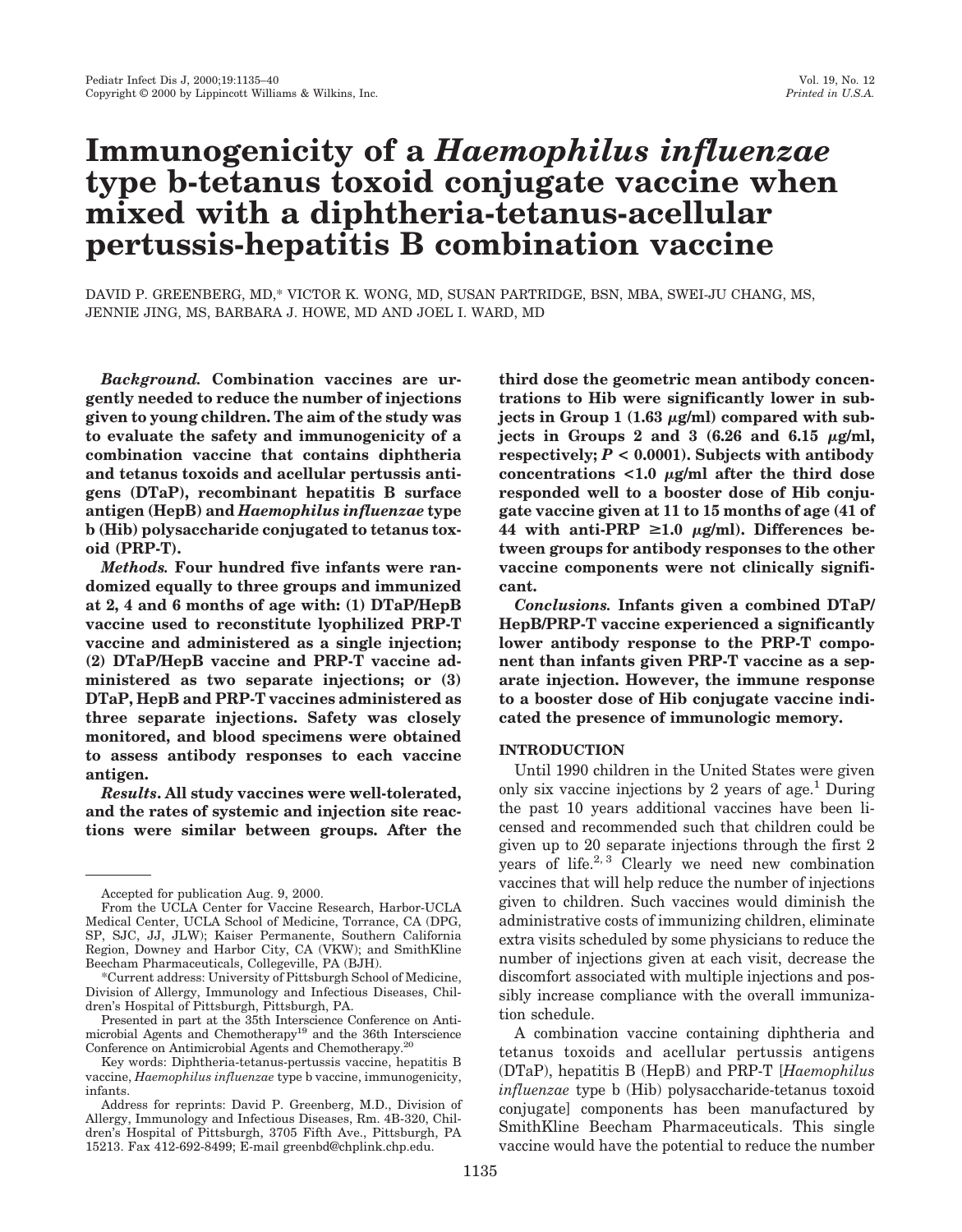# **Immunogenicity of a** *Haemophilus influenzae* **type b-tetanus toxoid conjugate vaccine when mixed with a diphtheria-tetanus-acellular pertussis-hepatitis B combination vaccine**

DAVID P. GREENBERG, MD,\* VICTOR K. WONG, MD, SUSAN PARTRIDGE, BSN, MBA, SWEI-JU CHANG, MS, JENNIE JING, MS, BARBARA J. HOWE, MD AND JOEL I. WARD, MD

*Background.* **Combination vaccines are urgently needed to reduce the number of injections given to young children. The aim of the study was to evaluate the safety and immunogenicity of a combination vaccine that contains diphtheria and tetanus toxoids and acellular pertussis antigens (DTaP), recombinant hepatitis B surface antigen (HepB) and** *Haemophilus influenzae* **type b (Hib) polysaccharide conjugated to tetanus toxoid (PRP-T).**

*Methods.* **Four hundred five infants were randomized equally to three groups and immunized at 2, 4 and 6 months of age with: (1) DTaP/HepB vaccine used to reconstitute lyophilized PRP-T vaccine and administered as a single injection; (2) DTaP/HepB vaccine and PRP-T vaccine administered as two separate injections; or (3) DTaP, HepB and PRP-T vaccines administered as three separate injections. Safety was closely monitored, and blood specimens were obtained to assess antibody responses to each vaccine antigen.**

*Results***. All study vaccines were well-tolerated, and the rates of systemic and injection site reactions were similar between groups. After the**

Presented in part at the 35th Interscience Conference on Antimicrobial Agents and Chemotherapy<sup>19</sup> and the 36th Interscience Conference on Antimicrobial Agents and Chemotherapy.20

Key words: Diphtheria-tetanus-pertussis vaccine, hepatitis B vaccine, *Haemophilus influenzae* type b vaccine, immunogenicity, infants.

**third dose the geometric mean antibody concentrations to Hib were significantly lower in sub**jects in Group  $1(1.63 \mu g/ml)$  compared with subjects in Groups 2 and 3  $(6.26 \text{ and } 6.15 \text{ }\mu\text{g/ml})$ , **respectively;** *P* **< 0.0001). Subjects with antibody** concentrations  $\langle 1.0 \mu g/m \rangle$  after the third dose **responded well to a booster dose of Hib conjugate vaccine given at 11 to 15 months of age (41 of** 44 with anti-PRP  $\geq 1.0$   $\mu$ g/ml). Differences be**tween groups for antibody responses to the other vaccine components were not clinically significant.**

*Conclusions.* **Infants given a combined DTaP/ HepB/PRP-T vaccine experienced a significantly lower antibody response to the PRP-T component than infants given PRP-T vaccine as a separate injection. However, the immune response to a booster dose of Hib conjugate vaccine indicated the presence of immunologic memory.**

# **INTRODUCTION**

Until 1990 children in the United States were given only six vaccine injections by 2 years of age.<sup>1</sup> During the past 10 years additional vaccines have been licensed and recommended such that children could be given up to 20 separate injections through the first 2 years of life.<sup>2, 3</sup> Clearly we need new combination vaccines that will help reduce the number of injections given to children. Such vaccines would diminish the administrative costs of immunizing children, eliminate extra visits scheduled by some physicians to reduce the number of injections given at each visit, decrease the discomfort associated with multiple injections and possibly increase compliance with the overall immunization schedule.

A combination vaccine containing diphtheria and tetanus toxoids and acellular pertussis antigens (DTaP), hepatitis B (HepB) and PRP-T [*Haemophilus influenzae* type b (Hib) polysaccharide-tetanus toxoid conjugate] components has been manufactured by SmithKline Beecham Pharmaceuticals. This single vaccine would have the potential to reduce the number

Accepted for publication Aug. 9, 2000.

From the UCLA Center for Vaccine Research, Harbor-UCLA Medical Center, UCLA School of Medicine, Torrance, CA (DPG, SP, SJC, JJ, JLW); Kaiser Permanente, Southern California Region, Downey and Harbor City, CA (VKW); and SmithKline Beecham Pharmaceuticals, Collegeville, PA (BJH).

<sup>\*</sup>Current address: University of Pittsburgh School of Medicine, Division of Allergy, Immunology and Infectious Diseases, Children's Hospital of Pittsburgh, Pittsburgh, PA.

Address for reprints: David P. Greenberg, M.D., Division of Allergy, Immunology and Infectious Diseases, Rm. 4B-320, Children's Hospital of Pittsburgh, 3705 Fifth Ave., Pittsburgh, PA 15213. Fax 412-692-8499; E-mail greenbd@chplink.chp.edu.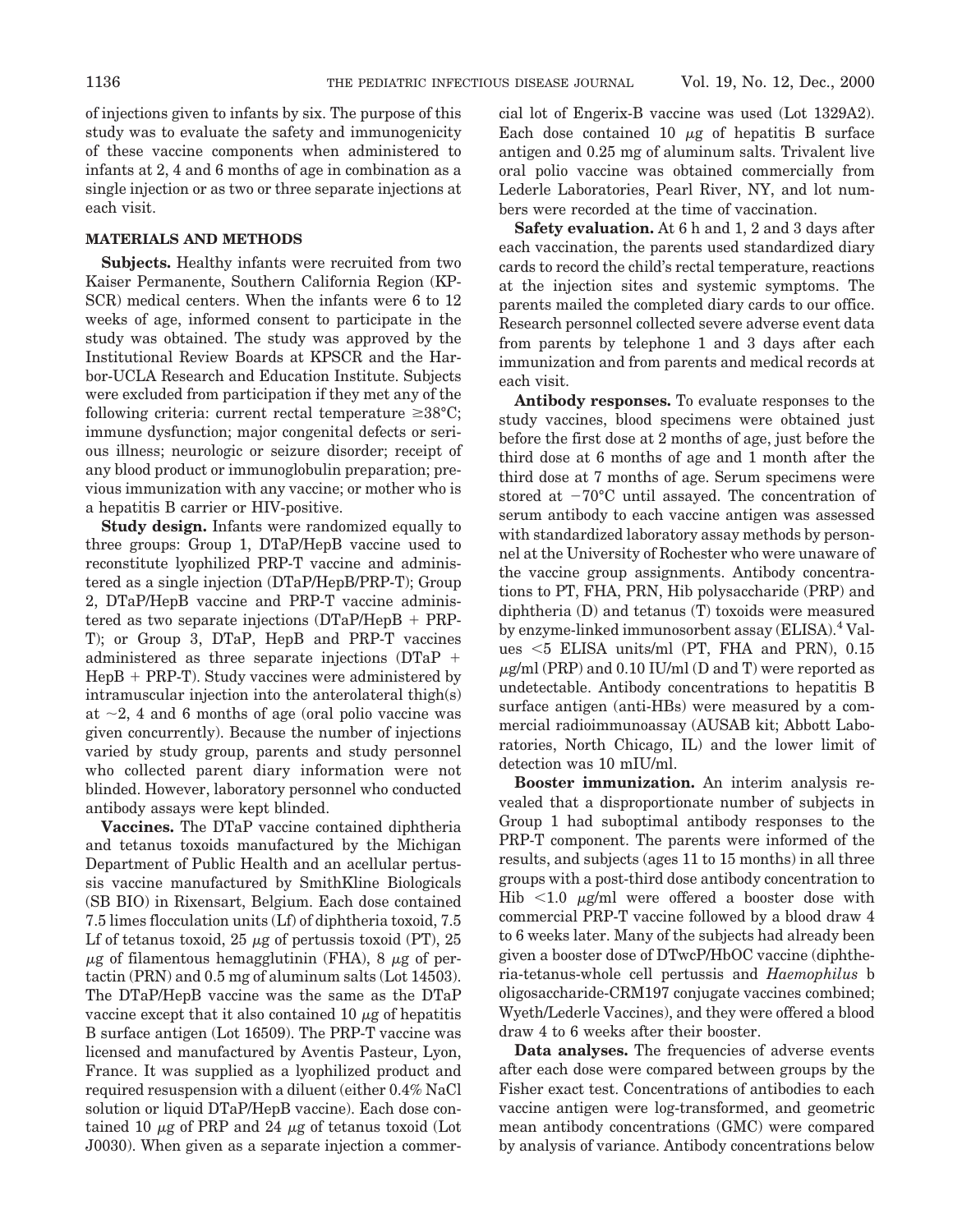of injections given to infants by six. The purpose of this study was to evaluate the safety and immunogenicity of these vaccine components when administered to infants at 2, 4 and 6 months of age in combination as a single injection or as two or three separate injections at each visit.

# **MATERIALS AND METHODS**

**Subjects.** Healthy infants were recruited from two Kaiser Permanente, Southern California Region (KP-SCR) medical centers. When the infants were 6 to 12 weeks of age, informed consent to participate in the study was obtained. The study was approved by the Institutional Review Boards at KPSCR and the Harbor-UCLA Research and Education Institute. Subjects were excluded from participation if they met any of the following criteria: current rectal temperature  $\geq 38^{\circ}C$ ; immune dysfunction; major congenital defects or serious illness; neurologic or seizure disorder; receipt of any blood product or immunoglobulin preparation; previous immunization with any vaccine; or mother who is a hepatitis B carrier or HIV-positive.

**Study design.** Infants were randomized equally to three groups: Group 1, DTaP/HepB vaccine used to reconstitute lyophilized PRP-T vaccine and administered as a single injection (DTaP/HepB/PRP-T); Group 2, DTaP/HepB vaccine and PRP-T vaccine administered as two separate injections  $(DTaP/Hep + PRP-$ T); or Group 3, DTaP, HepB and PRP-T vaccines administered as three separate injections  $(DTaP +$  $HepB + PRP-T$ ). Study vaccines were administered by intramuscular injection into the anterolateral thigh(s) at  $\sim$ 2, 4 and 6 months of age (oral polio vaccine was given concurrently). Because the number of injections varied by study group, parents and study personnel who collected parent diary information were not blinded. However, laboratory personnel who conducted antibody assays were kept blinded.

**Vaccines.** The DTaP vaccine contained diphtheria and tetanus toxoids manufactured by the Michigan Department of Public Health and an acellular pertussis vaccine manufactured by SmithKline Biologicals (SB BIO) in Rixensart, Belgium. Each dose contained 7.5 limes flocculation units (Lf) of diphtheria toxoid, 7.5 Lf of tetanus toxoid,  $25 \mu$ g of pertussis toxoid (PT),  $25$  $\mu$ g of filamentous hemagglutinin (FHA), 8  $\mu$ g of pertactin (PRN) and 0.5 mg of aluminum salts (Lot 14503). The DTaP/HepB vaccine was the same as the DTaP vaccine except that it also contained 10  $\mu$ g of hepatitis B surface antigen (Lot 16509). The PRP-T vaccine was licensed and manufactured by Aventis Pasteur, Lyon, France. It was supplied as a lyophilized product and required resuspension with a diluent (either 0.4% NaCl solution or liquid DTaP/HepB vaccine). Each dose contained 10  $\mu$ g of PRP and 24  $\mu$ g of tetanus toxoid (Lot J0030). When given as a separate injection a commercial lot of Engerix-B vaccine was used (Lot 1329A2). Each dose contained 10  $\mu$ g of hepatitis B surface antigen and 0.25 mg of aluminum salts. Trivalent live oral polio vaccine was obtained commercially from Lederle Laboratories, Pearl River, NY, and lot numbers were recorded at the time of vaccination.

**Safety evaluation.** At 6 h and 1, 2 and 3 days after each vaccination, the parents used standardized diary cards to record the child's rectal temperature, reactions at the injection sites and systemic symptoms. The parents mailed the completed diary cards to our office. Research personnel collected severe adverse event data from parents by telephone 1 and 3 days after each immunization and from parents and medical records at each visit.

**Antibody responses.** To evaluate responses to the study vaccines, blood specimens were obtained just before the first dose at 2 months of age, just before the third dose at 6 months of age and 1 month after the third dose at 7 months of age. Serum specimens were stored at  $-70^{\circ}$ C until assayed. The concentration of serum antibody to each vaccine antigen was assessed with standardized laboratory assay methods by personnel at the University of Rochester who were unaware of the vaccine group assignments. Antibody concentrations to PT, FHA, PRN, Hib polysaccharide (PRP) and diphtheria (D) and tetanus (T) toxoids were measured by enzyme-linked immunosorbent assay (ELISA).<sup>4</sup> Values  $<$  5 ELISA units/ml (PT, FHA and PRN), 0.15  $\mu$ g/ml (PRP) and 0.10 IU/ml (D and T) were reported as undetectable. Antibody concentrations to hepatitis B surface antigen (anti-HBs) were measured by a commercial radioimmunoassay (AUSAB kit; Abbott Laboratories, North Chicago, IL) and the lower limit of detection was 10 mIU/ml.

**Booster immunization.** An interim analysis revealed that a disproportionate number of subjects in Group 1 had suboptimal antibody responses to the PRP-T component. The parents were informed of the results, and subjects (ages 11 to 15 months) in all three groups with a post-third dose antibody concentration to Hib  $\leq$ 1.0  $\mu$ g/ml were offered a booster dose with commercial PRP-T vaccine followed by a blood draw 4 to 6 weeks later. Many of the subjects had already been given a booster dose of DTwcP/HbOC vaccine (diphtheria-tetanus-whole cell pertussis and *Haemophilus* b oligosaccharide-CRM197 conjugate vaccines combined; Wyeth/Lederle Vaccines), and they were offered a blood draw 4 to 6 weeks after their booster.

**Data analyses.** The frequencies of adverse events after each dose were compared between groups by the Fisher exact test. Concentrations of antibodies to each vaccine antigen were log-transformed, and geometric mean antibody concentrations (GMC) were compared by analysis of variance. Antibody concentrations below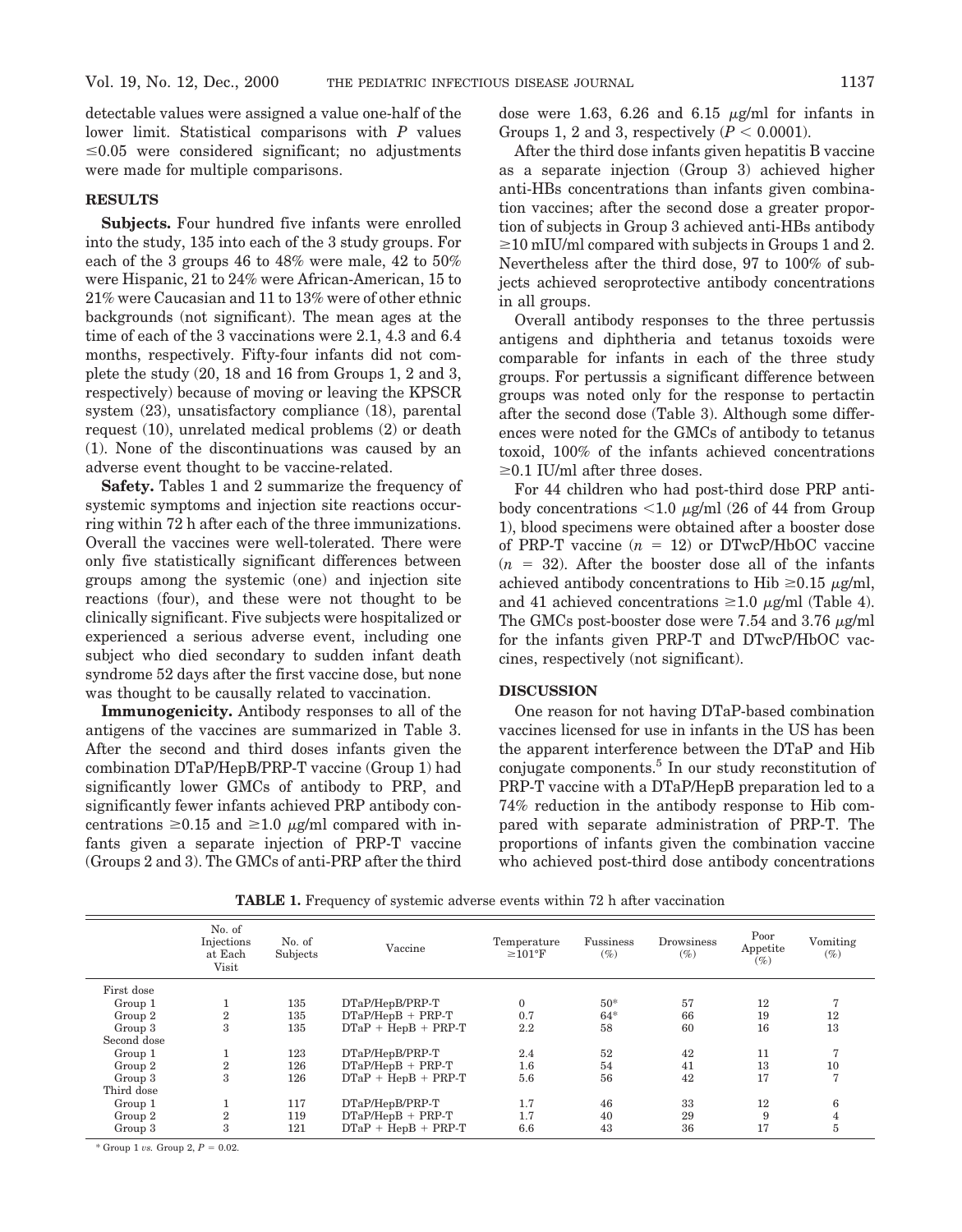detectable values were assigned a value one-half of the lower limit. Statistical comparisons with *P* values  $\leq 0.05$  were considered significant; no adjustments were made for multiple comparisons.

# **RESULTS**

**Subjects.** Four hundred five infants were enrolled into the study, 135 into each of the 3 study groups. For each of the 3 groups 46 to 48% were male, 42 to 50% were Hispanic, 21 to 24% were African-American, 15 to 21% were Caucasian and 11 to 13% were of other ethnic backgrounds (not significant). The mean ages at the time of each of the 3 vaccinations were 2.1, 4.3 and 6.4 months, respectively. Fifty-four infants did not complete the study (20, 18 and 16 from Groups 1, 2 and 3, respectively) because of moving or leaving the KPSCR system (23), unsatisfactory compliance (18), parental request (10), unrelated medical problems (2) or death (1). None of the discontinuations was caused by an adverse event thought to be vaccine-related.

**Safety.** Tables 1 and 2 summarize the frequency of systemic symptoms and injection site reactions occurring within 72 h after each of the three immunizations. Overall the vaccines were well-tolerated. There were only five statistically significant differences between groups among the systemic (one) and injection site reactions (four), and these were not thought to be clinically significant. Five subjects were hospitalized or experienced a serious adverse event, including one subject who died secondary to sudden infant death syndrome 52 days after the first vaccine dose, but none was thought to be causally related to vaccination.

**Immunogenicity.** Antibody responses to all of the antigens of the vaccines are summarized in Table 3. After the second and third doses infants given the combination DTaP/HepB/PRP-T vaccine (Group 1) had significantly lower GMCs of antibody to PRP, and significantly fewer infants achieved PRP antibody concentrations  $\geq 0.15$  and  $\geq 1.0$  *µg/ml* compared with infants given a separate injection of PRP-T vaccine (Groups 2 and 3). The GMCs of anti-PRP after the third dose were 1.63, 6.26 and 6.15  $\mu$ g/ml for infants in Groups 1, 2 and 3, respectively  $(P < 0.0001)$ .

After the third dose infants given hepatitis B vaccine as a separate injection (Group 3) achieved higher anti-HBs concentrations than infants given combination vaccines; after the second dose a greater proportion of subjects in Group 3 achieved anti-HBs antibody  $\geq$ 10 mIU/ml compared with subjects in Groups 1 and 2. Nevertheless after the third dose, 97 to 100% of subjects achieved seroprotective antibody concentrations in all groups.

Overall antibody responses to the three pertussis antigens and diphtheria and tetanus toxoids were comparable for infants in each of the three study groups. For pertussis a significant difference between groups was noted only for the response to pertactin after the second dose (Table 3). Although some differences were noted for the GMCs of antibody to tetanus toxoid, 100% of the infants achieved concentrations  $\geq$ 0.1 IU/ml after three doses.

For 44 children who had post-third dose PRP antibody concentrations  $\leq 1.0 \mu$ g/ml (26 of 44 from Group 1), blood specimens were obtained after a booster dose of PRP-T vaccine  $(n = 12)$  or DTwcP/HbOC vaccine  $(n = 32)$ . After the booster dose all of the infants achieved antibody concentrations to Hib  $\geq 0.15$   $\mu$ g/ml, and 41 achieved concentrations  $\geq 1.0 \mu$ g/ml (Table 4). The GMCs post-booster dose were  $7.54$  and  $3.76 \mu$ g/ml for the infants given PRP-T and DTwcP/HbOC vaccines, respectively (not significant).

### **DISCUSSION**

One reason for not having DTaP-based combination vaccines licensed for use in infants in the US has been the apparent interference between the DTaP and Hib conjugate components. $5$  In our study reconstitution of PRP-T vaccine with a DTaP/HepB preparation led to a 74% reduction in the antibody response to Hib compared with separate administration of PRP-T. The proportions of infants given the combination vaccine who achieved post-third dose antibody concentrations

|             | No. of<br>Injections<br>at Each<br>Visit | No. of<br>Subjects | Vaccine               | Temperature<br>$\geq$ 101°F | Fussiness<br>$(\%)$ | Drowsiness<br>$(\%)$ | Poor<br>Appetite<br>$(\%)$ | Vomiting<br>$(\%)$ |
|-------------|------------------------------------------|--------------------|-----------------------|-----------------------------|---------------------|----------------------|----------------------------|--------------------|
| First dose  |                                          |                    |                       |                             |                     |                      |                            |                    |
| Group 1     |                                          | 135                | DTaP/HepB/PRP-T       | $\Omega$                    | $50*$               | 57                   | 12                         |                    |
| Group 2     | $\overline{2}$                           | 135                | $DTaP/HepB + PRP-T$   | 0.7                         | $64*$               | 66                   | 19                         | 12                 |
| Group 3     | 3                                        | 135                | $DTaP + HepB + PRP-T$ | 2.2                         | 58                  | 60                   | 16                         | 13                 |
| Second dose |                                          |                    |                       |                             |                     |                      |                            |                    |
| Group 1     |                                          | 123                | DTaP/HepB/PRP-T       | 2.4                         | 52                  | 42                   | 11                         |                    |
| Group 2     | $\overline{2}$                           | 126                | $DTaP/HepB + PRP-T$   | 1.6                         | 54                  | 41                   | 13                         | 10                 |
| Group 3     | 3                                        | 126                | $DTaP + HepB + PRP-T$ | 5.6                         | 56                  | 42                   | 17                         |                    |
| Third dose  |                                          |                    |                       |                             |                     |                      |                            |                    |
| Group 1     |                                          | 117                | DTaP/HepB/PRP-T       | 1.7                         | 46                  | 33                   | 12                         | 6                  |
| Group 2     | $\overline{2}$                           | 119                | $DTaP/HepB + PRP-T$   | 1.7                         | 40                  | 29                   | 9                          |                    |
| Group 3     | 3                                        | 121                | $DTaP + HepB + PRP-T$ | 6.6                         | 43                  | 36                   | 17                         | Ð.                 |

**TABLE 1.** Frequency of systemic adverse events within 72 h after vaccination

 $*$  Group 1 *vs.* Group 2,  $P = 0.02$ .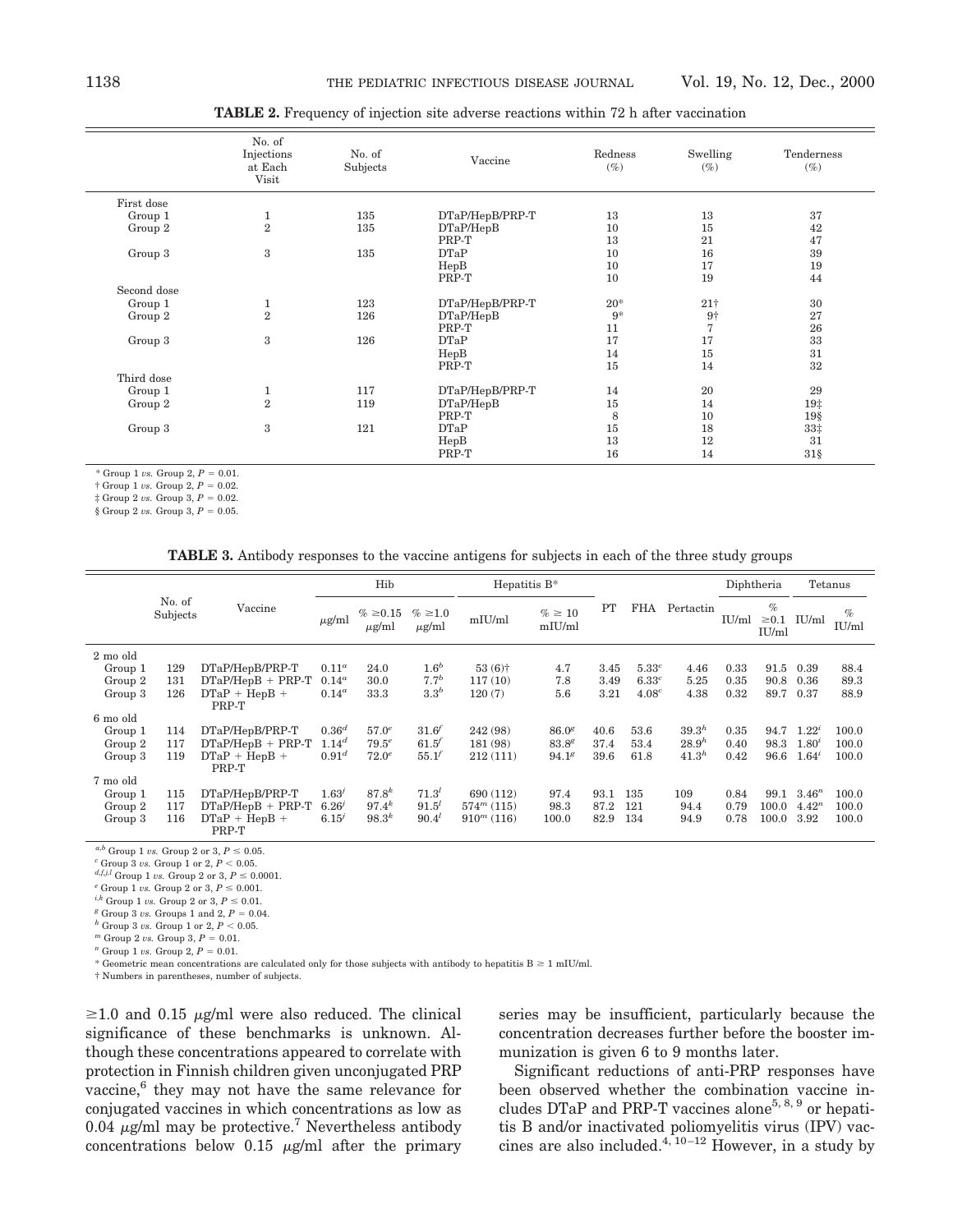|             | No. of<br>Injections<br>at Each<br>Visit | No. of<br>Subjects | Vaccine         | Redness<br>$(\%)$ | Swelling<br>$(\%)$ | Tenderness<br>$(\%)$ |
|-------------|------------------------------------------|--------------------|-----------------|-------------------|--------------------|----------------------|
| First dose  |                                          |                    |                 |                   |                    |                      |
| Group 1     | 1                                        | 135                | DTaP/HepB/PRP-T | 13                | 13                 | 37                   |
| Group 2     | $\overline{2}$                           | 135                | DTaP/HepB       | 10                | 15                 | 42                   |
|             |                                          |                    | PRP-T           | 13                | 21                 | 47                   |
| Group 3     | 3                                        | 135                | DTaP            | 10                | 16                 | 39                   |
|             |                                          |                    | HepB            | 10                | 17                 | 19                   |
|             |                                          |                    | PRP-T           | 10                | 19                 | 44                   |
| Second dose |                                          |                    |                 |                   |                    |                      |
| Group 1     | 1                                        | 123                | DTaP/HepB/PRP-T | $20*$             | 21 <sup>†</sup>    | 30                   |
| Group 2     | $\overline{2}$                           | 126                | DTaP/HepB       | $9*$              | $9+$               | 27                   |
|             |                                          |                    | PRP-T           | 11                | $\overline{7}$     | 26                   |
| Group 3     | 3                                        | 126                | DTaP            | 17                | 17                 | 33                   |
|             |                                          |                    | HepB            | 14                | 15                 | 31                   |
|             |                                          |                    | PRP-T           | 15                | 14                 | 32                   |
| Third dose  |                                          |                    |                 |                   |                    |                      |
| Group 1     | 1                                        | 117                | DTaP/HepB/PRP-T | 14                | 20                 | 29                   |
| Group 2     | $\overline{2}$                           | 119                | DTaP/HepB       | 15                | 14                 | 19‡                  |
|             |                                          |                    | PRP-T           | 8                 | 10                 | 19 <sub>8</sub>      |
| Group 3     | 3                                        | 121                | DTaP            | 15                | 18                 | $33+$                |
|             |                                          |                    | HepB            | 13                | 12                 | 31                   |
|             |                                          |                    | PRP-T           | 16                | 14                 | $31\$                |

**TABLE 2.** Frequency of injection site adverse reactions within 72 h after vaccination

\* Group 1 *vs.* Group 2,  $P = 0.01$ .

 $\dagger$  Group 1 *vs.* Group 2,  $P = 0.02$ .

 $\ddagger$  Group 2 *vs.* Group 3,  $P = 0.02$ .

 $\frac{1}{2}$  Group 2 *vs.* Group 3,  $P = 0.05$ .

**TABLE 3.** Antibody responses to the vaccine antigens for subjects in each of the three study groups

|          |                    | Hib                      |                   |                        | Hepatitis $B^*$             |                      |                        |      |                   | Diphtheria        |       | Tetanus                     |            |               |
|----------|--------------------|--------------------------|-------------------|------------------------|-----------------------------|----------------------|------------------------|------|-------------------|-------------------|-------|-----------------------------|------------|---------------|
|          | No. of<br>Subjects | Vaccine                  | $\mu$ g/ml        | % ≥ 0.15<br>$\mu$ g/ml | $\% \geq 1.0$<br>$\mu$ g/ml | mIU/ml               | $\% \geq 10$<br>mIU/ml | PT   | FHA               | Pertactin         | IU/ml | $\%$<br>$\geq 0.1$<br>IU/ml | IU/ml      | $\%$<br>IU/ml |
| 2 mo old |                    |                          |                   |                        |                             |                      |                        |      |                   |                   |       |                             |            |               |
| Group 1  | 129                | DTaP/HepB/PRP-T          | $0.11^a$          | 24.0                   | 1.6 <sup>b</sup>            | $53(6)$ <sup>+</sup> | 4.7                    | 3.45 | 5.33 <sup>c</sup> | 4.46              | 0.33  | 91.5                        | 0.39       | 88.4          |
| Group 2  | 131                | $DTaP/HepB + PRP-T$      | $0.14^a$          | 30.0                   | $7.7^{b}$                   | 117(10)              | 7.8                    | 3.49 | 6.33c             | 5.25              | 0.35  | 90.8                        | 0.36       | 89.3          |
| Group 3  | 126                | $DTaP + HepB +$          | $0.14^a$          | 33.3                   | 3.3 <sup>b</sup>            | 120(7)               | 5.6                    | 3.21 | 4.08 <sup>c</sup> | 4.38              | 0.32  | 89.7                        | 0.37       | 88.9          |
|          |                    | PRP-T                    |                   |                        |                             |                      |                        |      |                   |                   |       |                             |            |               |
| 6 mo old |                    |                          |                   |                        |                             |                      |                        |      |                   |                   |       |                             |            |               |
| Group 1  | 114                | DTaP/HepB/PRP-T          | $0.36^{d}$        | 57.0 <sup>e</sup>      | 31.6                        | 242 (98)             | 86.0 <sup>g</sup>      | 40.6 | 53.6              | 39.3 <sup>h</sup> | 0.35  | 94.7                        | $1.22^i$   | 100.0         |
| Group 2  | 117                | $DTaP/HepB + PRP-T$      | $1.14^{d}$        | $79.5^e$               | 61.5'                       | 181 (98)             | $83.8^g$               | 37.4 | 53.4              | $28.9^{h}$        | 0.40  | 98.3                        | $1.80^{t}$ | 100.0         |
| Group 3  | 119                | $DTaP + HepB +$<br>PRP-T | 0.91 <sup>d</sup> | $72.0^e$               | 55.1'                       | 212(111)             | 94.1 <sup>g</sup>      | 39.6 | 61.8              | 41.3 <sup>h</sup> | 0.42  | 96.6                        | $1.64^{i}$ | 100.0         |
| 7 mo old |                    |                          |                   |                        |                             |                      |                        |      |                   |                   |       |                             |            |               |
| Group 1  | 115                | DTaP/HepB/PRP-T          | 1.63'             | $87.8^{k}$             | $71.3^{l}$                  | 690 (112)            | 97.4                   | 93.1 | 135               | 109               | 0.84  | 99.1                        | $3.46^n$   | 100.0         |
| Group 2  | 117                | $DTaP/HepB + PRP-T$      | $6.26^{j}$        | $97.4^{k}$             | 91.5'                       | $574^m(115)$         | 98.3                   | 87.2 | 121               | 94.4              | 0.79  | 100.0                       | $4.42^n$   | 100.0         |
| Group 3  | 116                | $DTaP + HepB +$<br>PRP-T | 6.15'             | $98.3^{k}$             | $90.4^{l}$                  | $910^m$ (116)        | $100.0\,$              | 82.9 | 134               | 94.9              | 0.78  | 100.0                       | 3.92       | 100.0         |

 $a,b$  Group 1 *vs.* Group 2 or 3,  $P \le 0.05$ .

*c* Group 3 *vs.* Group 1 or 2,  $P < 0.05$ .

*d,f,j,l* Group 1 *vs.* Group 2 or 3,  $P \le 0.0001$ .

 $\epsilon$  Group 1 *vs.* Group 2 or 3,  $P \le 0.001$ .

 $^{i,k}$  Group 1  $vs.$  Group 2 or 3,  $P \leq$  0.01.

 $g$  Group 3 *vs.* Groups 1 and 2,  $P = 0.04$ .

 $h$  Group 3 *vs.* Group 1 or 2,  $P < 0.05$ .

 $^m$  Group 2 *vs.* Group 3,  $P = 0.01$ .

 $^{n}$  Group 1 *vs.* Group 2,  $P = 0.01$ .

\* Geometric mean concentrations are calculated only for those subjects with antibody to hepatitis  $B \ge 1$  mIU/ml.

† Numbers in parentheses, number of subjects.

 $\geq$ 1.0 and 0.15  $\mu$ g/ml were also reduced. The clinical significance of these benchmarks is unknown. Although these concentrations appeared to correlate with protection in Finnish children given unconjugated PRP vaccine,<sup>6</sup> they may not have the same relevance for conjugated vaccines in which concentrations as low as 0.04  $\mu$ g/ml may be protective.<sup>7</sup> Nevertheless antibody concentrations below  $0.15 \mu g/ml$  after the primary

series may be insufficient, particularly because the concentration decreases further before the booster immunization is given 6 to 9 months later.

Significant reductions of anti-PRP responses have been observed whether the combination vaccine includes DTaP and PRP-T vaccines alone<sup>5, 8, 9</sup> or hepatitis B and/or inactivated poliomyelitis virus (IPV) vaccines are also included. $4, 10-12$  However, in a study by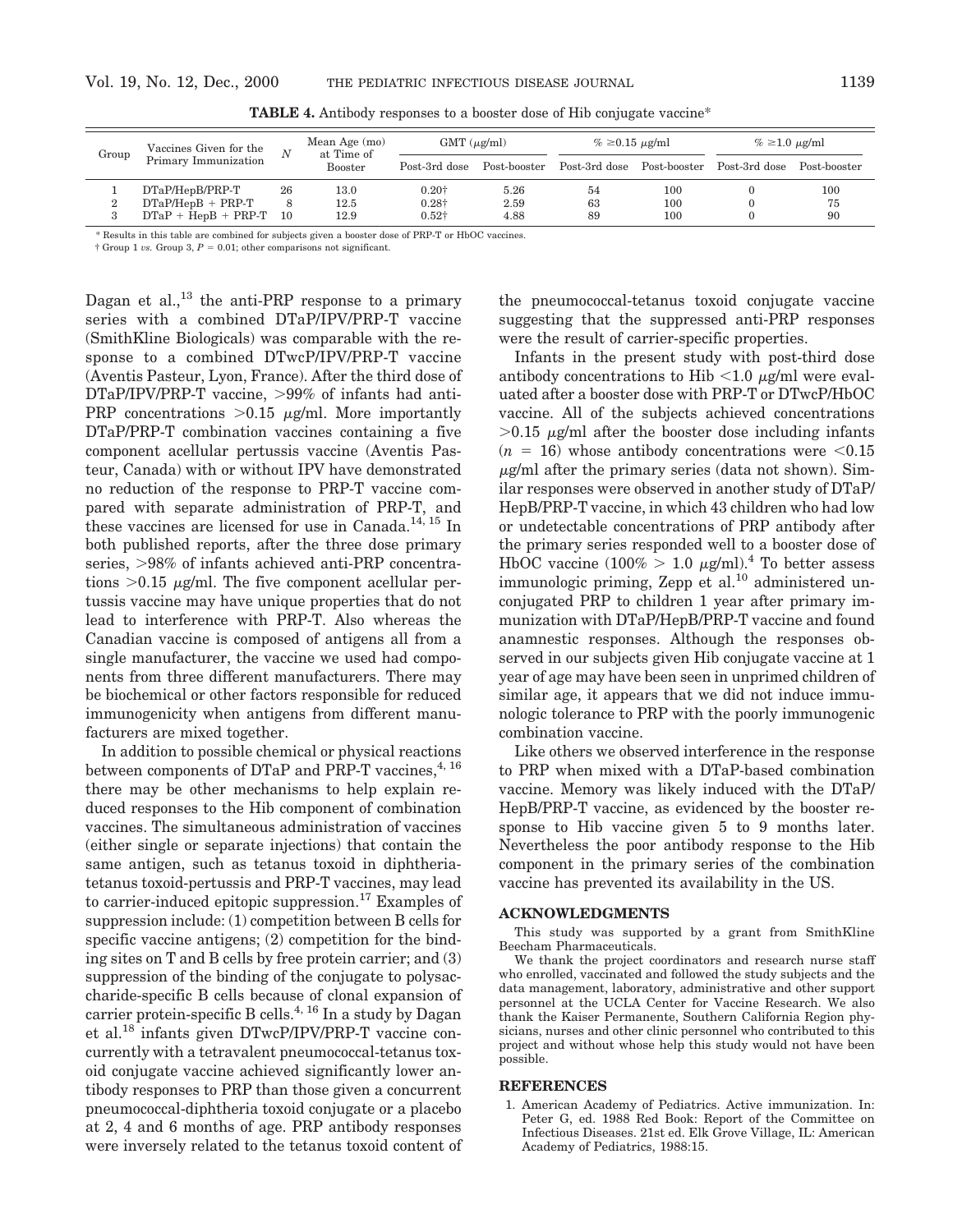| Group  | Vaccines Given for the   |    | Mean Age (mo)<br>at Time of<br><b>Booster</b> | $GMT (\mu g/ml)$  |      | $\% \geq 0.15 \text{ µg/ml}$                          |     | $\% \geq 1.0 \text{ µg/ml}$ |              |
|--------|--------------------------|----|-----------------------------------------------|-------------------|------|-------------------------------------------------------|-----|-----------------------------|--------------|
|        | Primary Immunization     |    |                                               | Post-3rd dose     |      | Post-booster Post-3rd dose Post-booster Post-3rd dose |     |                             | Post-booster |
|        | DTaP/HepB/PRP-T          | 26 | 13.0                                          | 0.20 <sup>†</sup> | 5.26 | 54                                                    | 100 |                             | 100          |
| ີ<br>▵ | $DTaP/HepB + PRP-T$      |    | 12.5                                          | $0.28\dagger$     | 2.59 | 63                                                    | 100 |                             | 75           |
| 3      | $DTaP + HepB + PRP-T$ 10 |    | 12.9                                          | $0.52\dagger$     | 4.88 | 89                                                    | 100 |                             | 90           |

**TABLE 4.** Antibody responses to a booster dose of Hib conjugate vaccine\*

\* Results in this table are combined for subjects given a booster dose of PRP-T or HbOC vaccines.

 $\dagger$  Group 1 *vs.* Group 3,  $P = 0.01$ ; other comparisons not significant.

Dagan et al.,<sup>13</sup> the anti-PRP response to a primary series with a combined DTaP/IPV/PRP-T vaccine (SmithKline Biologicals) was comparable with the response to a combined DTwcP/IPV/PRP-T vaccine (Aventis Pasteur, Lyon, France). After the third dose of  $DTaP/IPV/PRP-T$  vaccine,  $>99\%$  of infants had anti-PRP concentrations  $>0.15$   $\mu$ g/ml. More importantly DTaP/PRP-T combination vaccines containing a five component acellular pertussis vaccine (Aventis Pasteur, Canada) with or without IPV have demonstrated no reduction of the response to PRP-T vaccine compared with separate administration of PRP-T, and these vaccines are licensed for use in Canada.<sup>14, 15</sup> In both published reports, after the three dose primary series,  $>98\%$  of infants achieved anti-PRP concentrations  $>0.15$   $\mu$ g/ml. The five component acellular pertussis vaccine may have unique properties that do not lead to interference with PRP-T. Also whereas the Canadian vaccine is composed of antigens all from a single manufacturer, the vaccine we used had components from three different manufacturers. There may be biochemical or other factors responsible for reduced immunogenicity when antigens from different manufacturers are mixed together.

In addition to possible chemical or physical reactions between components of DTaP and PRP-T vaccines,  $4, 16$ there may be other mechanisms to help explain reduced responses to the Hib component of combination vaccines. The simultaneous administration of vaccines (either single or separate injections) that contain the same antigen, such as tetanus toxoid in diphtheriatetanus toxoid-pertussis and PRP-T vaccines, may lead to carrier-induced epitopic suppression.<sup>17</sup> Examples of suppression include: (1) competition between B cells for specific vaccine antigens; (2) competition for the binding sites on T and B cells by free protein carrier; and (3) suppression of the binding of the conjugate to polysaccharide-specific B cells because of clonal expansion of carrier protein-specific B cells.<sup>4, 16</sup> In a study by Dagan et al.18 infants given DTwcP/IPV/PRP-T vaccine concurrently with a tetravalent pneumococcal-tetanus toxoid conjugate vaccine achieved significantly lower antibody responses to PRP than those given a concurrent pneumococcal-diphtheria toxoid conjugate or a placebo at 2, 4 and 6 months of age. PRP antibody responses were inversely related to the tetanus toxoid content of the pneumococcal-tetanus toxoid conjugate vaccine suggesting that the suppressed anti-PRP responses were the result of carrier-specific properties.

Infants in the present study with post-third dose antibody concentrations to Hib  $<$ 1.0  $\mu$ g/ml were evaluated after a booster dose with PRP-T or DTwcP/HbOC vaccine. All of the subjects achieved concentrations  $>0.15$   $\mu$ g/ml after the booster dose including infants  $(n = 16)$  whose antibody concentrations were  $\leq 0.15$  $\mu$ g/ml after the primary series (data not shown). Similar responses were observed in another study of DTaP/ HepB/PRP-T vaccine, in which 43 children who had low or undetectable concentrations of PRP antibody after the primary series responded well to a booster dose of HbOC vaccine (100% > 1.0  $\mu$ g/ml).<sup>4</sup> To better assess immunologic priming, Zepp et al.<sup>10</sup> administered unconjugated PRP to children 1 year after primary immunization with DTaP/HepB/PRP-T vaccine and found anamnestic responses. Although the responses observed in our subjects given Hib conjugate vaccine at 1 year of age may have been seen in unprimed children of similar age, it appears that we did not induce immunologic tolerance to PRP with the poorly immunogenic combination vaccine.

Like others we observed interference in the response to PRP when mixed with a DTaP-based combination vaccine. Memory was likely induced with the DTaP/ HepB/PRP-T vaccine, as evidenced by the booster response to Hib vaccine given 5 to 9 months later. Nevertheless the poor antibody response to the Hib component in the primary series of the combination vaccine has prevented its availability in the US.

### **ACKNOWLEDGMENTS**

This study was supported by a grant from SmithKline Beecham Pharmaceuticals.

We thank the project coordinators and research nurse staff who enrolled, vaccinated and followed the study subjects and the data management, laboratory, administrative and other support personnel at the UCLA Center for Vaccine Research. We also thank the Kaiser Permanente, Southern California Region physicians, nurses and other clinic personnel who contributed to this project and without whose help this study would not have been possible.

#### **REFERENCES**

1. American Academy of Pediatrics. Active immunization. In: Peter G, ed. 1988 Red Book: Report of the Committee on Infectious Diseases. 21st ed. Elk Grove Village, IL: American Academy of Pediatrics, 1988:15.